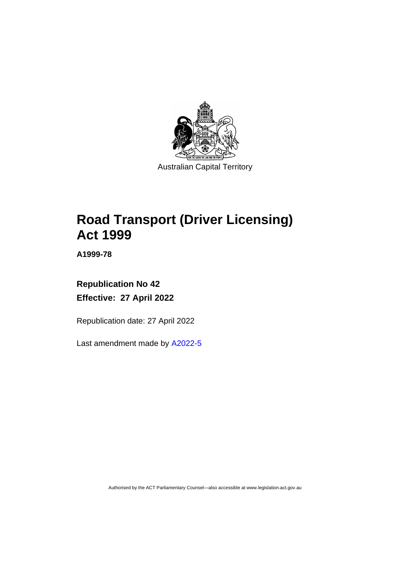

# **Road Transport (Driver Licensing) Act 1999**

**A1999-78**

# **Republication No 42 Effective: 27 April 2022**

Republication date: 27 April 2022

Last amendment made by [A2022-5](http://www.legislation.act.gov.au/a/2022-5/)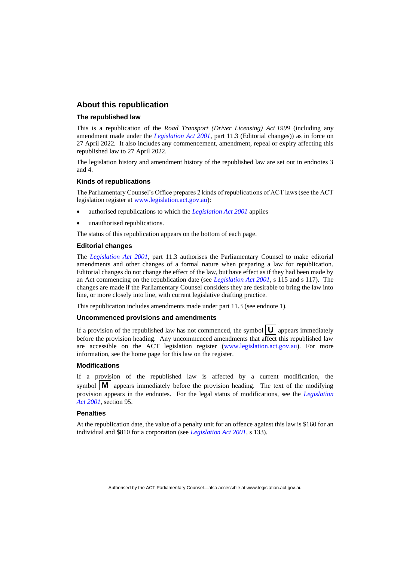#### **About this republication**

#### **The republished law**

This is a republication of the *Road Transport (Driver Licensing) Act 1999* (including any amendment made under the *[Legislation Act 2001](http://www.legislation.act.gov.au/a/2001-14)*, part 11.3 (Editorial changes)) as in force on 27 April 2022*.* It also includes any commencement, amendment, repeal or expiry affecting this republished law to 27 April 2022.

The legislation history and amendment history of the republished law are set out in endnotes 3 and 4.

#### **Kinds of republications**

The Parliamentary Counsel's Office prepares 2 kinds of republications of ACT laws (see the ACT legislation register at [www.legislation.act.gov.au\)](http://www.legislation.act.gov.au/):

- authorised republications to which the *[Legislation Act 2001](http://www.legislation.act.gov.au/a/2001-14)* applies
- unauthorised republications.

The status of this republication appears on the bottom of each page.

#### **Editorial changes**

The *[Legislation Act 2001](http://www.legislation.act.gov.au/a/2001-14)*, part 11.3 authorises the Parliamentary Counsel to make editorial amendments and other changes of a formal nature when preparing a law for republication. Editorial changes do not change the effect of the law, but have effect as if they had been made by an Act commencing on the republication date (see *[Legislation Act 2001](http://www.legislation.act.gov.au/a/2001-14)*, s 115 and s 117). The changes are made if the Parliamentary Counsel considers they are desirable to bring the law into line, or more closely into line, with current legislative drafting practice.

This republication includes amendments made under part 11.3 (see endnote 1).

#### **Uncommenced provisions and amendments**

If a provision of the republished law has not commenced, the symbol  $\mathbf{U}$  appears immediately before the provision heading. Any uncommenced amendments that affect this republished law are accessible on the ACT legislation register [\(www.legislation.act.gov.au\)](http://www.legislation.act.gov.au/). For more information, see the home page for this law on the register.

#### **Modifications**

If a provision of the republished law is affected by a current modification, the symbol  $\mathbf{M}$  appears immediately before the provision heading. The text of the modifying provision appears in the endnotes. For the legal status of modifications, see the *[Legislation](http://www.legislation.act.gov.au/a/2001-14)  Act [2001](http://www.legislation.act.gov.au/a/2001-14)*, section 95.

#### **Penalties**

At the republication date, the value of a penalty unit for an offence against this law is \$160 for an individual and \$810 for a corporation (see *[Legislation Act 2001](http://www.legislation.act.gov.au/a/2001-14)*, s 133).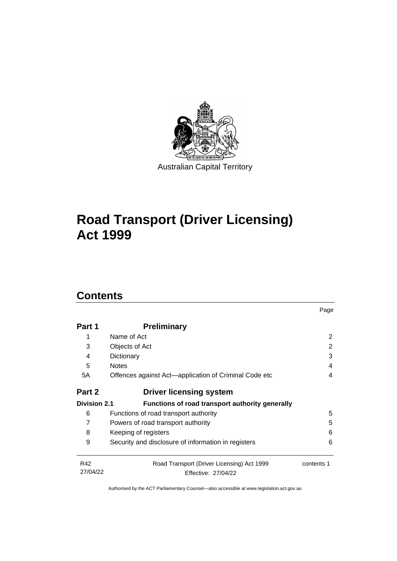

# **Road Transport (Driver Licensing) Act 1999**

# **Contents**

| Part 1              | <b>Preliminary</b>                                    |                |  |
|---------------------|-------------------------------------------------------|----------------|--|
|                     | Name of Act                                           | $\overline{2}$ |  |
| 3                   | Objects of Act                                        | 2              |  |
| 4                   | Dictionary                                            | 3              |  |
| 5                   | <b>Notes</b>                                          | 4              |  |
| 5A                  | Offences against Act—application of Criminal Code etc | 4              |  |
| Part 2              | <b>Driver licensing system</b>                        |                |  |
| <b>Division 2.1</b> | Functions of road transport authority generally       |                |  |
| 6                   | Functions of road transport authority                 | 5              |  |
| 7                   | Powers of road transport authority                    | 5              |  |
| 8                   | 6<br>Keeping of registers                             |                |  |
| 9                   | Security and disclosure of information in registers   | 6              |  |
| R42                 | Road Transport (Driver Licensing) Act 1999            | contents 1     |  |
| 27/04/22            | Effective: 27/04/22                                   |                |  |

Page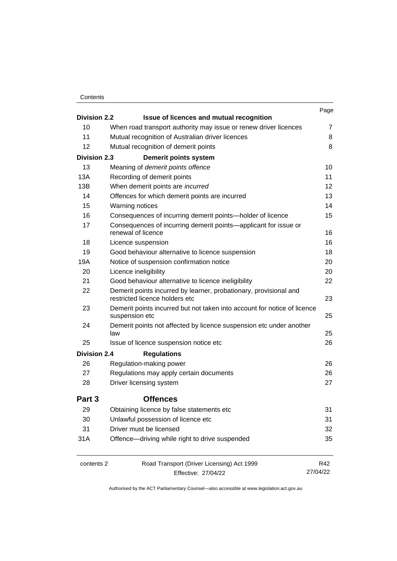#### **Contents**

|                     |                                                                                                     |                                                                                            | Page           |
|---------------------|-----------------------------------------------------------------------------------------------------|--------------------------------------------------------------------------------------------|----------------|
| <b>Division 2.2</b> |                                                                                                     | Issue of licences and mutual recognition                                                   | $\overline{7}$ |
| 10                  | When road transport authority may issue or renew driver licences                                    |                                                                                            |                |
| 11                  |                                                                                                     | Mutual recognition of Australian driver licences                                           | 8              |
| 12                  |                                                                                                     | Mutual recognition of demerit points                                                       | 8              |
| <b>Division 2.3</b> |                                                                                                     | <b>Demerit points system</b>                                                               |                |
| 13                  |                                                                                                     | Meaning of demerit points offence                                                          | 10             |
| 13A                 |                                                                                                     | Recording of demerit points                                                                | 11             |
| 13B                 |                                                                                                     | When demerit points are incurred                                                           | 12             |
| 14                  |                                                                                                     | Offences for which demerit points are incurred                                             | 13             |
| 15                  |                                                                                                     | Warning notices                                                                            | 14             |
| 16                  |                                                                                                     | Consequences of incurring demerit points-holder of licence                                 | 15             |
| 17                  |                                                                                                     | Consequences of incurring demerit points—applicant for issue or<br>renewal of licence      | 16             |
| 18                  |                                                                                                     | Licence suspension                                                                         | 16             |
| 19                  |                                                                                                     | Good behaviour alternative to licence suspension                                           | 18             |
| 19A                 |                                                                                                     | Notice of suspension confirmation notice                                                   | 20             |
| 20                  |                                                                                                     | Licence ineligibility                                                                      | 20             |
| 21                  |                                                                                                     | Good behaviour alternative to licence ineligibility                                        | 22             |
| 22                  | Demerit points incurred by learner, probationary, provisional and<br>restricted licence holders etc |                                                                                            |                |
| 23                  |                                                                                                     | Demerit points incurred but not taken into account for notice of licence<br>suspension etc | 25             |
| 24                  | law                                                                                                 | Demerit points not affected by licence suspension etc under another                        | 25             |
| 25                  |                                                                                                     | Issue of licence suspension notice etc                                                     | 26             |
| <b>Division 2.4</b> |                                                                                                     | <b>Regulations</b>                                                                         |                |
| 26                  |                                                                                                     | Regulation-making power                                                                    | 26             |
| 27                  |                                                                                                     | Regulations may apply certain documents                                                    | 26             |
| 28                  | 27<br>Driver licensing system                                                                       |                                                                                            |                |
| Part 3              |                                                                                                     | <b>Offences</b>                                                                            |                |
| 29                  |                                                                                                     | Obtaining licence by false statements etc                                                  | 31             |
| 30                  |                                                                                                     | Unlawful possession of licence etc                                                         | 31             |
| 31                  |                                                                                                     | Driver must be licensed                                                                    | 32             |
| 31A                 |                                                                                                     | Offence-driving while right to drive suspended                                             | 35             |
| contents 2          |                                                                                                     | Road Transport (Driver Licensing) Act 1999                                                 | R42            |
|                     |                                                                                                     | Effective: 27/04/22                                                                        | 27/04/22       |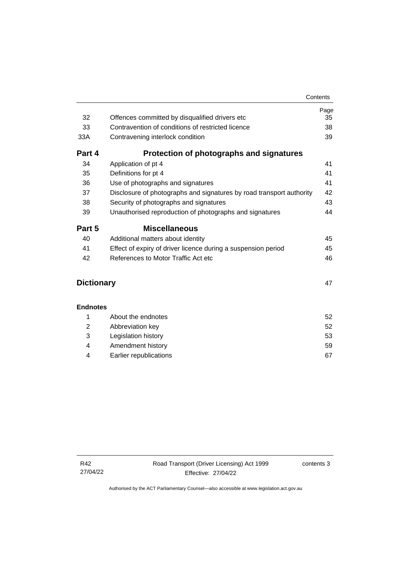|                         |                                                                      | Page |
|-------------------------|----------------------------------------------------------------------|------|
| 32                      | Offences committed by disqualified drivers etc.                      | 35   |
| 33                      | Contravention of conditions of restricted licence                    | 38   |
| 33A                     | Contravening interlock condition                                     | 39   |
| Part 4                  | Protection of photographs and signatures                             |      |
| 34                      | Application of pt 4                                                  | 41   |
| 35                      | Definitions for pt 4                                                 | 41   |
| 36                      | Use of photographs and signatures                                    | 41   |
| 37                      | Disclosure of photographs and signatures by road transport authority | 42   |
| 38                      | Security of photographs and signatures                               | 43   |
| 39                      | Unauthorised reproduction of photographs and signatures              | 44   |
| Part 5                  | <b>Miscellaneous</b>                                                 |      |
| 40                      | Additional matters about identity                                    | 45   |
| 41                      | Effect of expiry of driver licence during a suspension period        | 45   |
| 42                      | References to Motor Traffic Act etc.                                 | 46   |
| <b>Dictionary</b><br>47 |                                                                      |      |

|    | About the endnotes     | 52  |
|----|------------------------|-----|
|    | Abbreviation key       | 52  |
| -3 | Legislation history    | 53  |
| 4  | Amendment history      | 59  |
|    | Earlier republications | -67 |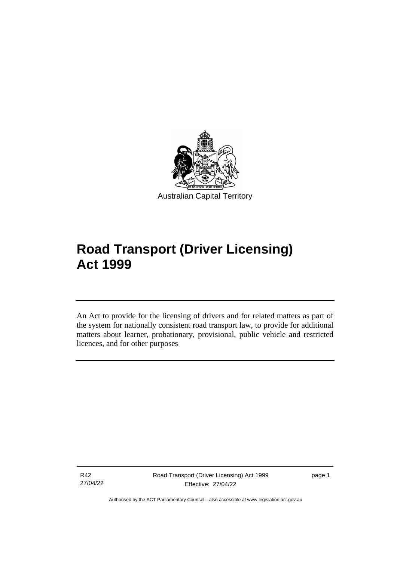

# **Road Transport (Driver Licensing) Act 1999**

An Act to provide for the licensing of drivers and for related matters as part of the system for nationally consistent road transport law, to provide for additional matters about learner, probationary, provisional, public vehicle and restricted licences, and for other purposes

R42 27/04/22

ׅ֖֖֚֚֡֡֬֝֬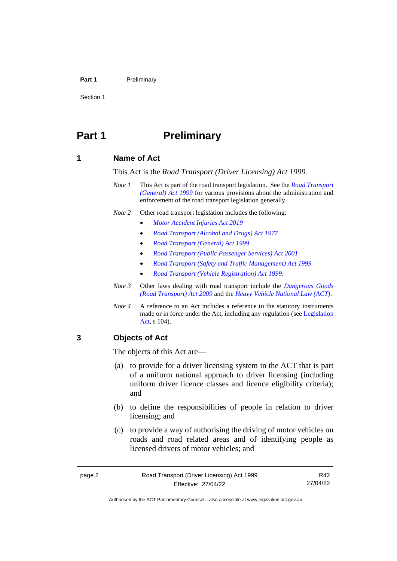#### **Part 1** Preliminary

Section 1

# <span id="page-7-0"></span>**Part 1 Preliminary**

#### <span id="page-7-1"></span>**1 Name of Act**

This Act is the *Road Transport (Driver Licensing) Act 1999.*

- *Note 1* This Act is part of the road transport legislation. See the *[Road Transport](http://www.legislation.act.gov.au/a/1999-77)  [\(General\) Act 1999](http://www.legislation.act.gov.au/a/1999-77)* for various provisions about the administration and enforcement of the road transport legislation generally.
- *Note 2* Other road transport legislation includes the following:
	- *[Motor Accident Injuries Act 2019](http://www.legislation.act.gov.au/a/2019-12)*
	- *[Road Transport \(Alcohol and Drugs\) Act 1977](http://www.legislation.act.gov.au/a/1977-17)*
	- *[Road Transport \(General\) Act 1999](http://www.legislation.act.gov.au/a/1999-77)*
	- *[Road Transport \(Public Passenger Services\) Act 2001](http://www.legislation.act.gov.au/a/2001-62)*
	- *[Road Transport \(Safety and Traffic Management\) Act 1999](http://www.legislation.act.gov.au/a/1999-80)*
	- *[Road Transport \(Vehicle Registration\) Act 1999.](http://www.legislation.act.gov.au/a/1999-81)*
- *Note 3* Other laws dealing with road transport include the *[Dangerous Goods](http://www.legislation.act.gov.au/a/2009-34)  [\(Road Transport\) Act 2009](http://www.legislation.act.gov.au/a/2009-34)* and the *[Heavy Vehicle National Law \(ACT\)](http://www.legislation.act.gov.au/a/db_49155/default.asp)*.
- *Note 4* A reference to an Act includes a reference to the statutory instruments made or in force under the Act, including any regulation (se[e Legislation](http://www.legislation.act.gov.au/a/2001-14)  [Act,](http://www.legislation.act.gov.au/a/2001-14) s 104).

#### <span id="page-7-2"></span>**3 Objects of Act**

The objects of this Act are—

- (a) to provide for a driver licensing system in the ACT that is part of a uniform national approach to driver licensing (including uniform driver licence classes and licence eligibility criteria); and
- (b) to define the responsibilities of people in relation to driver licensing; and
- (c) to provide a way of authorising the driving of motor vehicles on roads and road related areas and of identifying people as licensed drivers of motor vehicles; and

R42 27/04/22

Authorised by the ACT Parliamentary Counsel—also accessible at www.legislation.act.gov.au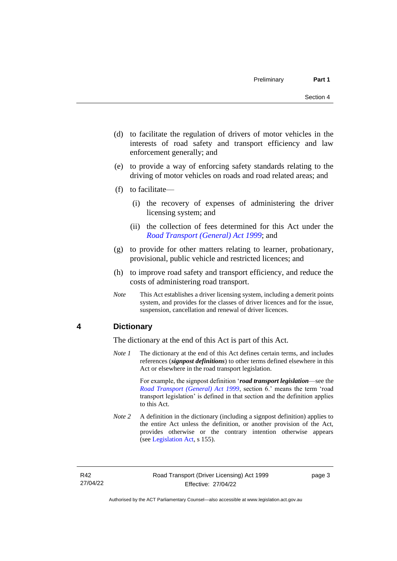- (d) to facilitate the regulation of drivers of motor vehicles in the interests of road safety and transport efficiency and law enforcement generally; and
- (e) to provide a way of enforcing safety standards relating to the driving of motor vehicles on roads and road related areas; and
- (f) to facilitate—
	- (i) the recovery of expenses of administering the driver licensing system; and
	- (ii) the collection of fees determined for this Act under the *[Road Transport \(General\) Act 1999](http://www.legislation.act.gov.au/a/1999-77)*; and
- (g) to provide for other matters relating to learner, probationary, provisional, public vehicle and restricted licences; and
- (h) to improve road safety and transport efficiency, and reduce the costs of administering road transport.
- *Note* This Act establishes a driver licensing system, including a demerit points system, and provides for the classes of driver licences and for the issue, suspension, cancellation and renewal of driver licences.

### <span id="page-8-0"></span>**4 Dictionary**

The dictionary at the end of this Act is part of this Act.

*Note 1* The dictionary at the end of this Act defines certain terms, and includes references (*signpost definitions*) to other terms defined elsewhere in this Act or elsewhere in the road transport legislation.

> For example, the signpost definition '*road transport legislation*—see the *[Road Transport \(General\) Act 1999](http://www.legislation.act.gov.au/a/1999-77)*, section 6.' means the term 'road transport legislation' is defined in that section and the definition applies to this Act.

*Note* 2 A definition in the dictionary (including a signpost definition) applies to the entire Act unless the definition, or another provision of the Act, provides otherwise or the contrary intention otherwise appears (see [Legislation Act,](http://www.legislation.act.gov.au/a/2001-14) s 155).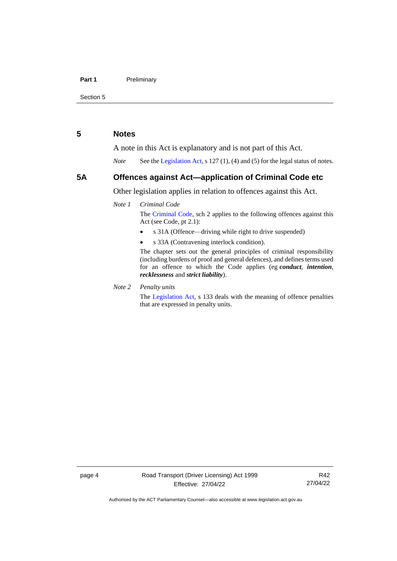#### **Part 1** Preliminary

Section 5

#### <span id="page-9-0"></span>**5 Notes**

A note in this Act is explanatory and is not part of this Act.

*Note* See the [Legislation Act,](http://www.legislation.act.gov.au/a/2001-14) s 127 (1), (4) and (5) for the legal status of notes.

#### <span id="page-9-1"></span>**5A Offences against Act—application of Criminal Code etc**

Other legislation applies in relation to offences against this Act.

#### *Note 1 Criminal Code*

The [Criminal Code,](http://www.legislation.act.gov.au/a/2002-51) sch 2 applies to the following offences against this Act (see Code, pt 2.1):

- s 31A (Offence—driving while right to drive suspended)
- s 33A (Contravening interlock condition).

The chapter sets out the general principles of criminal responsibility (including burdens of proof and general defences), and defines terms used for an offence to which the Code applies (eg *conduct*, *intention*, *recklessness* and *strict liability*).

*Note 2 Penalty units*

The [Legislation Act,](http://www.legislation.act.gov.au/a/2001-14) s 133 deals with the meaning of offence penalties that are expressed in penalty units.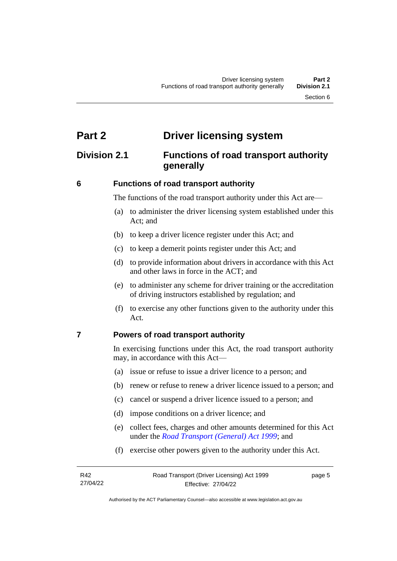# <span id="page-10-0"></span>**Part 2 Driver licensing system**

# <span id="page-10-1"></span>**Division 2.1 Functions of road transport authority generally**

#### <span id="page-10-2"></span>**6 Functions of road transport authority**

The functions of the road transport authority under this Act are—

- (a) to administer the driver licensing system established under this Act; and
- (b) to keep a driver licence register under this Act; and
- (c) to keep a demerit points register under this Act; and
- (d) to provide information about drivers in accordance with this Act and other laws in force in the ACT; and
- (e) to administer any scheme for driver training or the accreditation of driving instructors established by regulation; and
- (f) to exercise any other functions given to the authority under this Act.

#### <span id="page-10-3"></span>**7 Powers of road transport authority**

In exercising functions under this Act, the road transport authority may, in accordance with this Act—

- (a) issue or refuse to issue a driver licence to a person; and
- (b) renew or refuse to renew a driver licence issued to a person; and
- (c) cancel or suspend a driver licence issued to a person; and
- (d) impose conditions on a driver licence; and
- (e) collect fees, charges and other amounts determined for this Act under the *[Road Transport \(General\) Act 1999](http://www.legislation.act.gov.au/a/1999-77)*; and
- (f) exercise other powers given to the authority under this Act.

page 5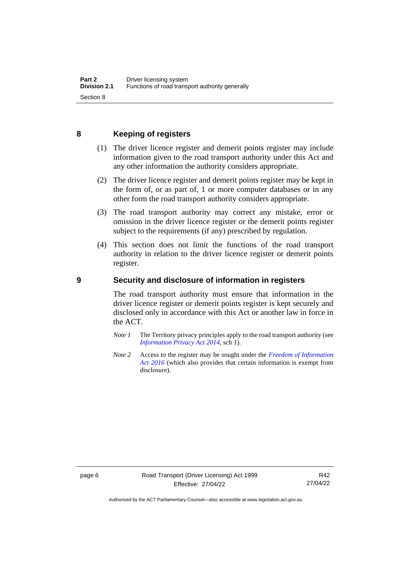## <span id="page-11-0"></span>**8 Keeping of registers**

- (1) The driver licence register and demerit points register may include information given to the road transport authority under this Act and any other information the authority considers appropriate.
- (2) The driver licence register and demerit points register may be kept in the form of, or as part of, 1 or more computer databases or in any other form the road transport authority considers appropriate.
- (3) The road transport authority may correct any mistake, error or omission in the driver licence register or the demerit points register subject to the requirements (if any) prescribed by regulation.
- (4) This section does not limit the functions of the road transport authority in relation to the driver licence register or demerit points register.

#### <span id="page-11-1"></span>**9 Security and disclosure of information in registers**

The road transport authority must ensure that information in the driver licence register or demerit points register is kept securely and disclosed only in accordance with this Act or another law in force in the ACT.

- *Note 1* The Territory privacy principles apply to the road transport authority (see *[Information Privacy Act 2014](http://www.legislation.act.gov.au/a/2014-24/default.asp)*, sch 1).
- *Note 2* Access to the register may be sought under the *[Freedom of Information](http://www.legislation.act.gov.au/a/2016-55/default.asp)  [Act 2016](http://www.legislation.act.gov.au/a/2016-55/default.asp)* (which also provides that certain information is exempt from disclosure).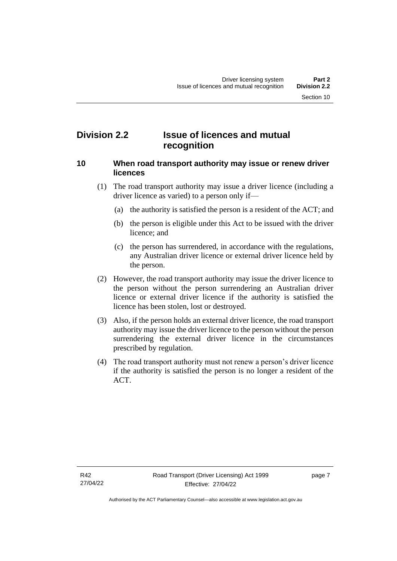# <span id="page-12-0"></span>**Division 2.2 Issue of licences and mutual recognition**

#### <span id="page-12-1"></span>**10 When road transport authority may issue or renew driver licences**

- (1) The road transport authority may issue a driver licence (including a driver licence as varied) to a person only if—
	- (a) the authority is satisfied the person is a resident of the ACT; and
	- (b) the person is eligible under this Act to be issued with the driver licence; and
	- (c) the person has surrendered, in accordance with the regulations, any Australian driver licence or external driver licence held by the person.
- (2) However, the road transport authority may issue the driver licence to the person without the person surrendering an Australian driver licence or external driver licence if the authority is satisfied the licence has been stolen, lost or destroyed.
- (3) Also, if the person holds an external driver licence, the road transport authority may issue the driver licence to the person without the person surrendering the external driver licence in the circumstances prescribed by regulation.
- (4) The road transport authority must not renew a person's driver licence if the authority is satisfied the person is no longer a resident of the ACT.

page 7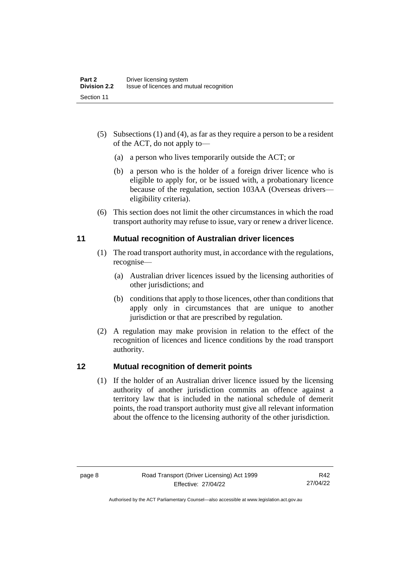- (5) Subsections (1) and (4), as far as they require a person to be a resident of the ACT, do not apply to––
	- (a) a person who lives temporarily outside the ACT; or
	- (b) a person who is the holder of a foreign driver licence who is eligible to apply for, or be issued with, a probationary licence because of the regulation, section 103AA (Overseas drivers–– eligibility criteria).
- (6) This section does not limit the other circumstances in which the road transport authority may refuse to issue, vary or renew a driver licence.

## <span id="page-13-0"></span>**11 Mutual recognition of Australian driver licences**

- (1) The road transport authority must, in accordance with the regulations, recognise—
	- (a) Australian driver licences issued by the licensing authorities of other jurisdictions; and
	- (b) conditions that apply to those licences, other than conditions that apply only in circumstances that are unique to another jurisdiction or that are prescribed by regulation.
- (2) A regulation may make provision in relation to the effect of the recognition of licences and licence conditions by the road transport authority.

## <span id="page-13-1"></span>**12 Mutual recognition of demerit points**

(1) If the holder of an Australian driver licence issued by the licensing authority of another jurisdiction commits an offence against a territory law that is included in the national schedule of demerit points, the road transport authority must give all relevant information about the offence to the licensing authority of the other jurisdiction.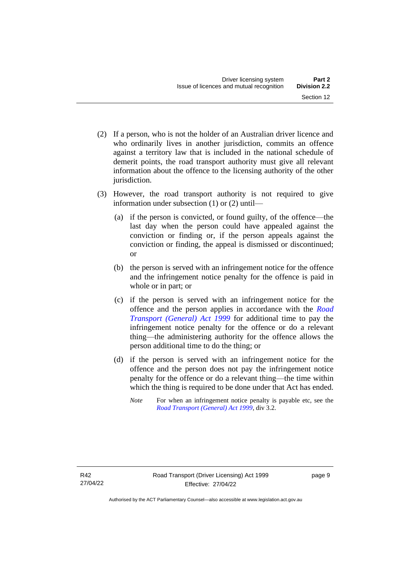- (2) If a person, who is not the holder of an Australian driver licence and who ordinarily lives in another jurisdiction, commits an offence against a territory law that is included in the national schedule of demerit points, the road transport authority must give all relevant information about the offence to the licensing authority of the other jurisdiction.
- (3) However, the road transport authority is not required to give information under subsection (1) or (2) until—
	- (a) if the person is convicted, or found guilty, of the offence—the last day when the person could have appealed against the conviction or finding or, if the person appeals against the conviction or finding, the appeal is dismissed or discontinued; or
	- (b) the person is served with an infringement notice for the offence and the infringement notice penalty for the offence is paid in whole or in part; or
	- (c) if the person is served with an infringement notice for the offence and the person applies in accordance with the *[Road](http://www.legislation.act.gov.au/a/1999-77)  [Transport \(General\) Act 1999](http://www.legislation.act.gov.au/a/1999-77)* for additional time to pay the infringement notice penalty for the offence or do a relevant thing—the administering authority for the offence allows the person additional time to do the thing; or
	- (d) if the person is served with an infringement notice for the offence and the person does not pay the infringement notice penalty for the offence or do a relevant thing—the time within which the thing is required to be done under that Act has ended.
		- *Note* For when an infringement notice penalty is payable etc, see the *[Road Transport \(General\) Act 1999](http://www.legislation.act.gov.au/a/1999-77)*, div 3.2.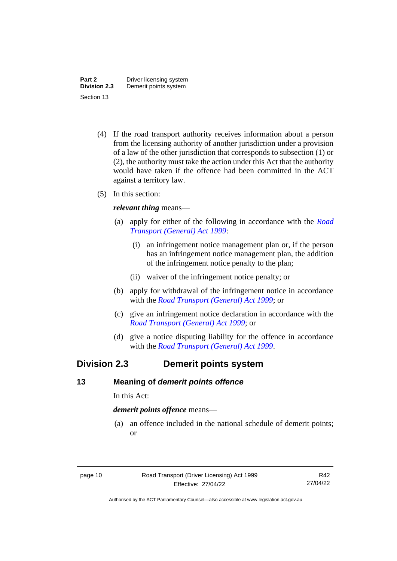- (4) If the road transport authority receives information about a person from the licensing authority of another jurisdiction under a provision of a law of the other jurisdiction that corresponds to subsection (1) or (2), the authority must take the action under this Act that the authority would have taken if the offence had been committed in the ACT against a territory law.
- (5) In this section:

#### *relevant thing* means—

- (a) apply for either of the following in accordance with the *[Road](http://www.legislation.act.gov.au/a/1999-77)  [Transport \(General\) Act 1999](http://www.legislation.act.gov.au/a/1999-77)*:
	- (i) an infringement notice management plan or, if the person has an infringement notice management plan, the addition of the infringement notice penalty to the plan;
	- (ii) waiver of the infringement notice penalty; or
- (b) apply for withdrawal of the infringement notice in accordance with the *[Road Transport \(General\) Act 1999](http://www.legislation.act.gov.au/a/1999-77)*; or
- (c) give an infringement notice declaration in accordance with the *[Road Transport \(General\) Act 1999](http://www.legislation.act.gov.au/a/1999-77)*; or
- (d) give a notice disputing liability for the offence in accordance with the *[Road Transport \(General\) Act 1999](http://www.legislation.act.gov.au/a/1999-77)*.

# <span id="page-15-0"></span>**Division 2.3 Demerit points system**

#### <span id="page-15-1"></span>**13 Meaning of** *demerit points offence*

In this Act:

*demerit points offence* means—

(a) an offence included in the national schedule of demerit points; or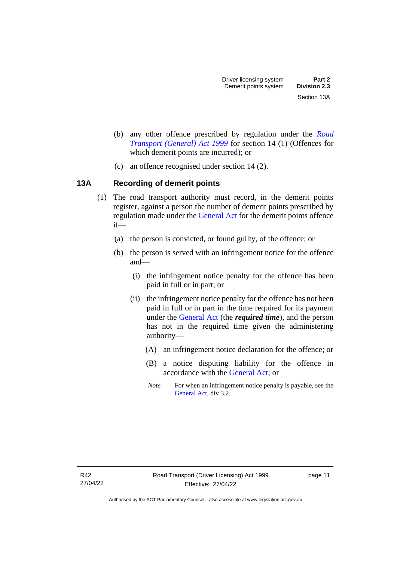- (b) any other offence prescribed by regulation under the *[Road](http://www.legislation.act.gov.au/a/1999-77)  [Transport \(General\) Act 1999](http://www.legislation.act.gov.au/a/1999-77)* for section 14 (1) (Offences for which demerit points are incurred); or
- (c) an offence recognised under section 14 (2).

# <span id="page-16-0"></span>**13A Recording of demerit points**

- (1) The road transport authority must record, in the demerit points register, against a person the number of demerit points prescribed by regulation made under the [General Act](http://www.legislation.act.gov.au/a/1999-77/default.asp) for the demerit points offence if—
	- (a) the person is convicted, or found guilty, of the offence; or
	- (b) the person is served with an infringement notice for the offence and—
		- (i) the infringement notice penalty for the offence has been paid in full or in part; or
		- (ii) the infringement notice penalty for the offence has not been paid in full or in part in the time required for its payment under the [General Act](http://www.legislation.act.gov.au/a/1999-77/default.asp) (the *required time*), and the person has not in the required time given the administering authority—
			- (A) an infringement notice declaration for the offence; or
			- (B) a notice disputing liability for the offence in accordance with the [General Act;](http://www.legislation.act.gov.au/a/1999-77/default.asp) or
			- *Note* For when an infringement notice penalty is payable, see the [General Act,](http://www.legislation.act.gov.au/a/1999-77/default.asp) div 3.2.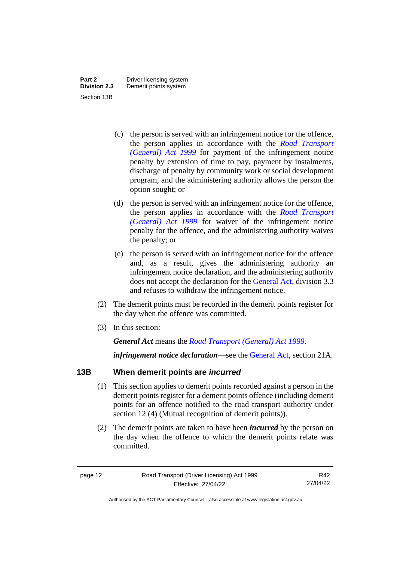- (c) the person is served with an infringement notice for the offence, the person applies in accordance with the *[Road Transport](http://www.legislation.act.gov.au/a/1999-77)  [\(General\) Act 1999](http://www.legislation.act.gov.au/a/1999-77)* for payment of the infringement notice penalty by extension of time to pay, payment by instalments, discharge of penalty by community work or social development program, and the administering authority allows the person the option sought; or
- (d) the person is served with an infringement notice for the offence, the person applies in accordance with the *[Road Transport](http://www.legislation.act.gov.au/a/1999-77)  [\(General\) Act 1999](http://www.legislation.act.gov.au/a/1999-77)* for waiver of the infringement notice penalty for the offence, and the administering authority waives the penalty; or
- (e) the person is served with an infringement notice for the offence and, as a result, gives the administering authority an infringement notice declaration, and the administering authority does not accept the declaration for the [General Act,](http://www.legislation.act.gov.au/a/1999-77/default.asp) division 3.3 and refuses to withdraw the infringement notice.
- (2) The demerit points must be recorded in the demerit points register for the day when the offence was committed.
- (3) In this section:

*General Act* means the *[Road Transport \(General\) Act 1999](http://www.legislation.act.gov.au/a/1999-77)*.

*infringement notice declaration*—see the [General Act,](http://www.legislation.act.gov.au/a/1999-77/default.asp) section 21A.

## <span id="page-17-0"></span>**13B When demerit points are** *incurred*

- (1) This section applies to demerit points recorded against a person in the demerit points register for a demerit points offence (including demerit points for an offence notified to the road transport authority under section 12 (4) (Mutual recognition of demerit points)).
- (2) The demerit points are taken to have been *incurred* by the person on the day when the offence to which the demerit points relate was committed.

R42 27/04/22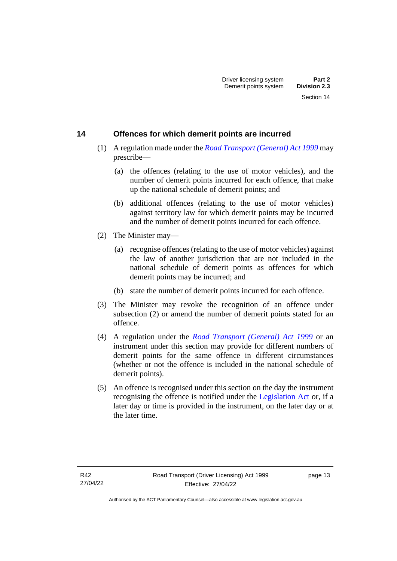## <span id="page-18-0"></span>**14 Offences for which demerit points are incurred**

- (1) A regulation made under the *[Road Transport \(General\) Act 1999](http://www.legislation.act.gov.au/a/1999-77)* may prescribe—
	- (a) the offences (relating to the use of motor vehicles), and the number of demerit points incurred for each offence, that make up the national schedule of demerit points; and
	- (b) additional offences (relating to the use of motor vehicles) against territory law for which demerit points may be incurred and the number of demerit points incurred for each offence.
- (2) The Minister may—
	- (a) recognise offences (relating to the use of motor vehicles) against the law of another jurisdiction that are not included in the national schedule of demerit points as offences for which demerit points may be incurred; and
	- (b) state the number of demerit points incurred for each offence.
- (3) The Minister may revoke the recognition of an offence under subsection (2) or amend the number of demerit points stated for an offence.
- (4) A regulation under the *[Road Transport \(General\) Act 1999](http://www.legislation.act.gov.au/a/1999-77)* or an instrument under this section may provide for different numbers of demerit points for the same offence in different circumstances (whether or not the offence is included in the national schedule of demerit points).
- (5) An offence is recognised under this section on the day the instrument recognising the offence is notified under the [Legislation Act](http://www.legislation.act.gov.au/a/2001-14) or, if a later day or time is provided in the instrument, on the later day or at the later time.

page 13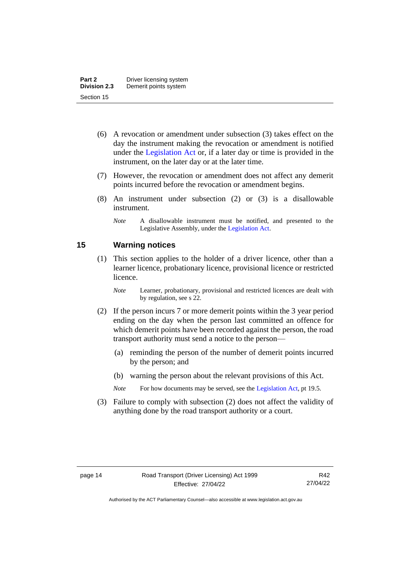- (6) A revocation or amendment under subsection (3) takes effect on the day the instrument making the revocation or amendment is notified under the [Legislation Act](http://www.legislation.act.gov.au/a/2001-14) or, if a later day or time is provided in the instrument, on the later day or at the later time.
- (7) However, the revocation or amendment does not affect any demerit points incurred before the revocation or amendment begins.
- (8) An instrument under subsection (2) or (3) is a disallowable instrument.

#### <span id="page-19-0"></span>**15 Warning notices**

- (1) This section applies to the holder of a driver licence, other than a learner licence, probationary licence, provisional licence or restricted licence.
	- *Note* Learner, probationary, provisional and restricted licences are dealt with by regulation, see s 22.
- (2) If the person incurs 7 or more demerit points within the 3 year period ending on the day when the person last committed an offence for which demerit points have been recorded against the person, the road transport authority must send a notice to the person—
	- (a) reminding the person of the number of demerit points incurred by the person; and
	- (b) warning the person about the relevant provisions of this Act.
	- *Note* For how documents may be served, see th[e Legislation Act,](http://www.legislation.act.gov.au/a/2001-14) pt 19.5.
- (3) Failure to comply with subsection (2) does not affect the validity of anything done by the road transport authority or a court.

*Note* A disallowable instrument must be notified, and presented to the Legislative Assembly, under the [Legislation Act.](http://www.legislation.act.gov.au/a/2001-14)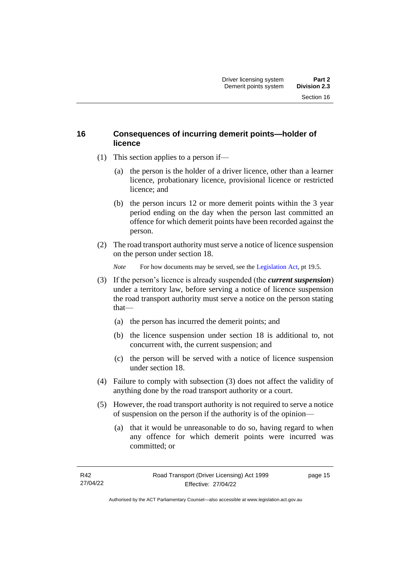## <span id="page-20-0"></span>**16 Consequences of incurring demerit points—holder of licence**

- (1) This section applies to a person if—
	- (a) the person is the holder of a driver licence, other than a learner licence, probationary licence, provisional licence or restricted licence; and
	- (b) the person incurs 12 or more demerit points within the 3 year period ending on the day when the person last committed an offence for which demerit points have been recorded against the person.
- (2) The road transport authority must serve a notice of licence suspension on the person under section 18.

*Note* For how documents may be served, see th[e Legislation Act,](http://www.legislation.act.gov.au/a/2001-14) pt 19.5.

- (3) If the person's licence is already suspended (the *current suspension*) under a territory law, before serving a notice of licence suspension the road transport authority must serve a notice on the person stating that—
	- (a) the person has incurred the demerit points; and
	- (b) the licence suspension under section 18 is additional to, not concurrent with, the current suspension; and
	- (c) the person will be served with a notice of licence suspension under section 18.
- (4) Failure to comply with subsection (3) does not affect the validity of anything done by the road transport authority or a court.
- (5) However, the road transport authority is not required to serve a notice of suspension on the person if the authority is of the opinion—
	- (a) that it would be unreasonable to do so, having regard to when any offence for which demerit points were incurred was committed; or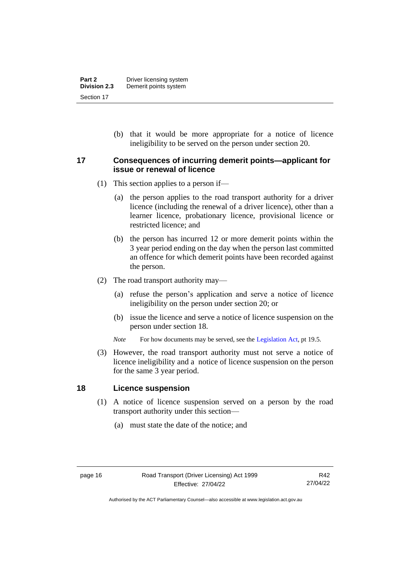(b) that it would be more appropriate for a notice of licence ineligibility to be served on the person under section 20.

#### <span id="page-21-0"></span>**17 Consequences of incurring demerit points—applicant for issue or renewal of licence**

- (1) This section applies to a person if—
	- (a) the person applies to the road transport authority for a driver licence (including the renewal of a driver licence), other than a learner licence, probationary licence, provisional licence or restricted licence; and
	- (b) the person has incurred 12 or more demerit points within the 3 year period ending on the day when the person last committed an offence for which demerit points have been recorded against the person.
- (2) The road transport authority may—
	- (a) refuse the person's application and serve a notice of licence ineligibility on the person under section 20; or
	- (b) issue the licence and serve a notice of licence suspension on the person under section 18.
	- *Note* For how documents may be served, see th[e Legislation Act,](http://www.legislation.act.gov.au/a/2001-14) pt 19.5.
- (3) However, the road transport authority must not serve a notice of licence ineligibility and a notice of licence suspension on the person for the same 3 year period.

#### <span id="page-21-1"></span>**18 Licence suspension**

- (1) A notice of licence suspension served on a person by the road transport authority under this section—
	- (a) must state the date of the notice; and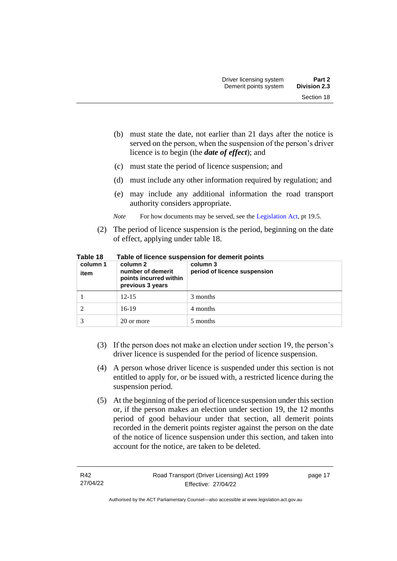- (b) must state the date, not earlier than 21 days after the notice is served on the person, when the suspension of the person's driver licence is to begin (the *date of effect*); and
- (c) must state the period of licence suspension; and
- (d) must include any other information required by regulation; and
- (e) may include any additional information the road transport authority considers appropriate.
- *Note* For how documents may be served, see th[e Legislation Act,](http://www.legislation.act.gov.au/a/2001-14) pt 19.5.
- (2) The period of licence suspension is the period, beginning on the date of effect, applying under table 18.

| column 1<br>item | column 2<br>number of demerit<br>points incurred within<br>previous 3 years | column 3<br>period of licence suspension |
|------------------|-----------------------------------------------------------------------------|------------------------------------------|
|                  | $12 - 15$                                                                   | 3 months                                 |
|                  | $16-19$                                                                     | 4 months                                 |
|                  | 20 or more                                                                  | 5 months                                 |

**Table 18 Table of licence suspension for demerit points**

- (3) If the person does not make an election under section 19, the person's driver licence is suspended for the period of licence suspension.
- (4) A person whose driver licence is suspended under this section is not entitled to apply for, or be issued with, a restricted licence during the suspension period.
- (5) At the beginning of the period of licence suspension under this section or, if the person makes an election under section 19, the 12 months period of good behaviour under that section, all demerit points recorded in the demerit points register against the person on the date of the notice of licence suspension under this section, and taken into account for the notice, are taken to be deleted.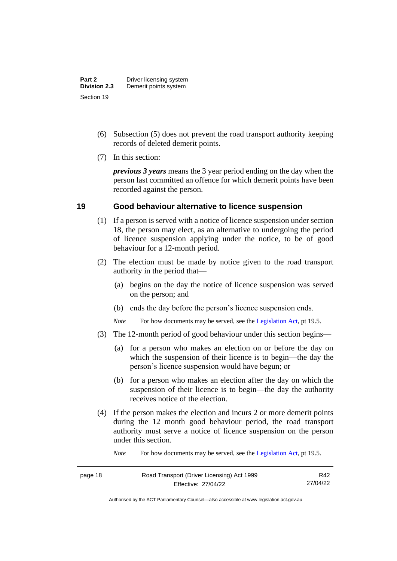- (6) Subsection (5) does not prevent the road transport authority keeping records of deleted demerit points.
- (7) In this section:

*previous 3 years* means the 3 year period ending on the day when the person last committed an offence for which demerit points have been recorded against the person.

### <span id="page-23-0"></span>**19 Good behaviour alternative to licence suspension**

- (1) If a person is served with a notice of licence suspension under section 18, the person may elect, as an alternative to undergoing the period of licence suspension applying under the notice, to be of good behaviour for a 12-month period.
- (2) The election must be made by notice given to the road transport authority in the period that—
	- (a) begins on the day the notice of licence suspension was served on the person; and
	- (b) ends the day before the person's licence suspension ends.
	- *Note* For how documents may be served, see th[e Legislation Act,](http://www.legislation.act.gov.au/a/2001-14) pt 19.5.
- (3) The 12-month period of good behaviour under this section begins—
	- (a) for a person who makes an election on or before the day on which the suspension of their licence is to begin—the day the person's licence suspension would have begun; or
	- (b) for a person who makes an election after the day on which the suspension of their licence is to begin—the day the authority receives notice of the election.
- (4) If the person makes the election and incurs 2 or more demerit points during the 12 month good behaviour period, the road transport authority must serve a notice of licence suspension on the person under this section.

*Note* For how documents may be served, see th[e Legislation Act,](http://www.legislation.act.gov.au/a/2001-14) pt 19.5.

| ĸ<br>ı<br>œ |  |  |
|-------------|--|--|
|-------------|--|--|

R42 27/04/22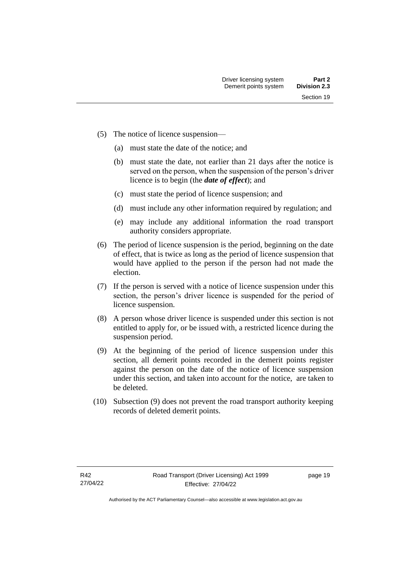- (5) The notice of licence suspension—
	- (a) must state the date of the notice; and
	- (b) must state the date, not earlier than 21 days after the notice is served on the person, when the suspension of the person's driver licence is to begin (the *date of effect*); and
	- (c) must state the period of licence suspension; and
	- (d) must include any other information required by regulation; and
	- (e) may include any additional information the road transport authority considers appropriate.
- (6) The period of licence suspension is the period, beginning on the date of effect, that is twice as long as the period of licence suspension that would have applied to the person if the person had not made the election.
- (7) If the person is served with a notice of licence suspension under this section, the person's driver licence is suspended for the period of licence suspension.
- (8) A person whose driver licence is suspended under this section is not entitled to apply for, or be issued with, a restricted licence during the suspension period.
- (9) At the beginning of the period of licence suspension under this section, all demerit points recorded in the demerit points register against the person on the date of the notice of licence suspension under this section, and taken into account for the notice, are taken to be deleted.
- (10) Subsection (9) does not prevent the road transport authority keeping records of deleted demerit points.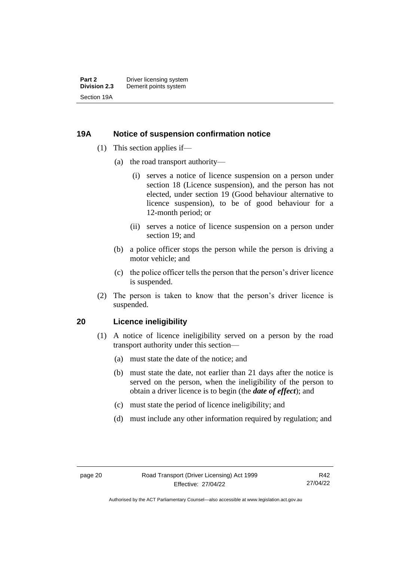### <span id="page-25-0"></span>**19A Notice of suspension confirmation notice**

- (1) This section applies if—
	- (a) the road transport authority—
		- (i) serves a notice of licence suspension on a person under section 18 (Licence suspension), and the person has not elected, under section 19 (Good behaviour alternative to licence suspension), to be of good behaviour for a 12-month period; or
		- (ii) serves a notice of licence suspension on a person under section 19; and
	- (b) a police officer stops the person while the person is driving a motor vehicle; and
	- (c) the police officer tells the person that the person's driver licence is suspended.
- (2) The person is taken to know that the person's driver licence is suspended.

#### <span id="page-25-1"></span>**20 Licence ineligibility**

- (1) A notice of licence ineligibility served on a person by the road transport authority under this section—
	- (a) must state the date of the notice; and
	- (b) must state the date, not earlier than 21 days after the notice is served on the person, when the ineligibility of the person to obtain a driver licence is to begin (the *date of effect*); and
	- (c) must state the period of licence ineligibility; and
	- (d) must include any other information required by regulation; and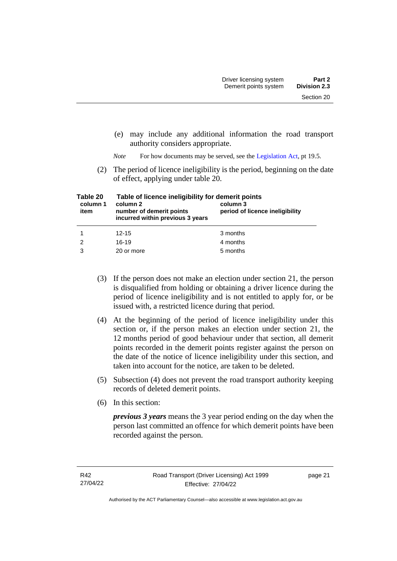- (e) may include any additional information the road transport authority considers appropriate.
- *Note* For how documents may be served, see th[e Legislation Act,](http://www.legislation.act.gov.au/a/2001-14) pt 19.5.
- (2) The period of licence ineligibility is the period, beginning on the date of effect, applying under table 20.

| Table 20<br>column 1<br>item | Table of licence ineligibility for demerit points<br>column 2<br>number of demerit points<br>incurred within previous 3 years | column 3<br>period of licence ineligibility |  |
|------------------------------|-------------------------------------------------------------------------------------------------------------------------------|---------------------------------------------|--|
|                              | $12 - 15$                                                                                                                     | 3 months                                    |  |
| 2                            | $16-19$                                                                                                                       | 4 months                                    |  |
| 3                            | 20 or more                                                                                                                    | 5 months                                    |  |

- (3) If the person does not make an election under section 21, the person is disqualified from holding or obtaining a driver licence during the period of licence ineligibility and is not entitled to apply for, or be issued with, a restricted licence during that period.
- (4) At the beginning of the period of licence ineligibility under this section or, if the person makes an election under section 21, the 12 months period of good behaviour under that section, all demerit points recorded in the demerit points register against the person on the date of the notice of licence ineligibility under this section, and taken into account for the notice, are taken to be deleted.
- (5) Subsection (4) does not prevent the road transport authority keeping records of deleted demerit points.
- (6) In this section:

*previous 3 years* means the 3 year period ending on the day when the person last committed an offence for which demerit points have been recorded against the person.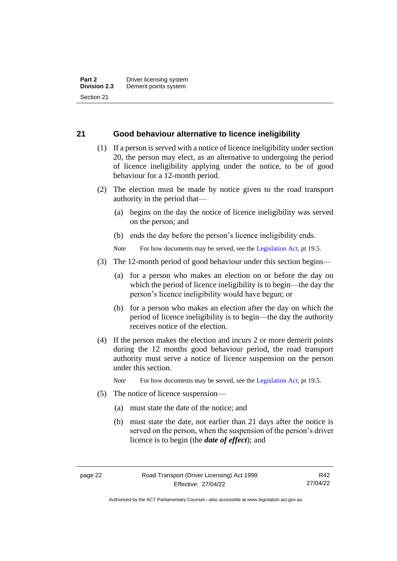#### <span id="page-27-0"></span>**21 Good behaviour alternative to licence ineligibility**

- (1) If a person is served with a notice of licence ineligibility under section 20, the person may elect, as an alternative to undergoing the period of licence ineligibility applying under the notice, to be of good behaviour for a 12-month period.
- (2) The election must be made by notice given to the road transport authority in the period that—
	- (a) begins on the day the notice of licence ineligibility was served on the person; and
	- (b) ends the day before the person's licence ineligibility ends.

*Note* For how documents may be served, see th[e Legislation Act,](http://www.legislation.act.gov.au/a/2001-14) pt 19.5.

- (3) The 12-month period of good behaviour under this section begins—
	- (a) for a person who makes an election on or before the day on which the period of licence ineligibility is to begin—the day the person's licence ineligibility would have begun; or
	- (b) for a person who makes an election after the day on which the period of licence ineligibility is to begin—the day the authority receives notice of the election.
- (4) If the person makes the election and incurs 2 or more demerit points during the 12 months good behaviour period, the road transport authority must serve a notice of licence suspension on the person under this section.

*Note* For how documents may be served, see th[e Legislation Act,](http://www.legislation.act.gov.au/a/2001-14) pt 19.5.

- (5) The notice of licence suspension—
	- (a) must state the date of the notice; and
	- (b) must state the date, not earlier than 21 days after the notice is served on the person, when the suspension of the person's driver licence is to begin (the *date of effect*); and

R42 27/04/22

Authorised by the ACT Parliamentary Counsel—also accessible at www.legislation.act.gov.au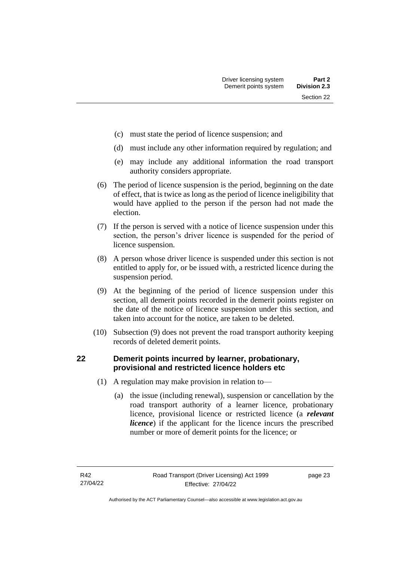- (c) must state the period of licence suspension; and
- (d) must include any other information required by regulation; and
- (e) may include any additional information the road transport authority considers appropriate.
- (6) The period of licence suspension is the period, beginning on the date of effect, that is twice as long as the period of licence ineligibility that would have applied to the person if the person had not made the election.
- (7) If the person is served with a notice of licence suspension under this section, the person's driver licence is suspended for the period of licence suspension.
- (8) A person whose driver licence is suspended under this section is not entitled to apply for, or be issued with, a restricted licence during the suspension period.
- (9) At the beginning of the period of licence suspension under this section, all demerit points recorded in the demerit points register on the date of the notice of licence suspension under this section, and taken into account for the notice, are taken to be deleted.
- (10) Subsection (9) does not prevent the road transport authority keeping records of deleted demerit points.

## <span id="page-28-0"></span>**22 Demerit points incurred by learner, probationary, provisional and restricted licence holders etc**

- (1) A regulation may make provision in relation to—
	- (a) the issue (including renewal), suspension or cancellation by the road transport authority of a learner licence, probationary licence, provisional licence or restricted licence (a *relevant licence*) if the applicant for the licence incurs the prescribed number or more of demerit points for the licence; or

page 23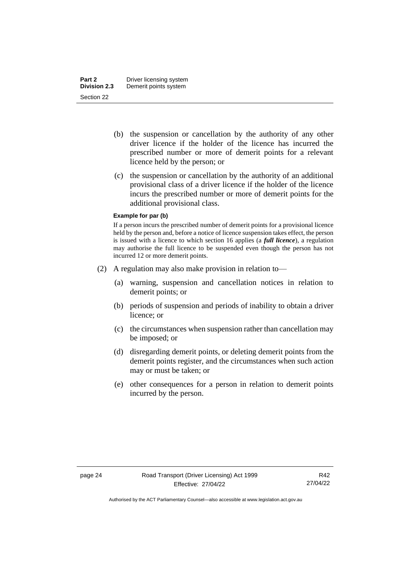- (b) the suspension or cancellation by the authority of any other driver licence if the holder of the licence has incurred the prescribed number or more of demerit points for a relevant licence held by the person; or
- (c) the suspension or cancellation by the authority of an additional provisional class of a driver licence if the holder of the licence incurs the prescribed number or more of demerit points for the additional provisional class.

#### **Example for par (b)**

If a person incurs the prescribed number of demerit points for a provisional licence held by the person and, before a notice of licence suspension takes effect, the person is issued with a licence to which section 16 applies (a *full licence*), a regulation may authorise the full licence to be suspended even though the person has not incurred 12 or more demerit points.

- (2) A regulation may also make provision in relation to—
	- (a) warning, suspension and cancellation notices in relation to demerit points; or
	- (b) periods of suspension and periods of inability to obtain a driver licence; or
	- (c) the circumstances when suspension rather than cancellation may be imposed; or
	- (d) disregarding demerit points, or deleting demerit points from the demerit points register, and the circumstances when such action may or must be taken; or
	- (e) other consequences for a person in relation to demerit points incurred by the person.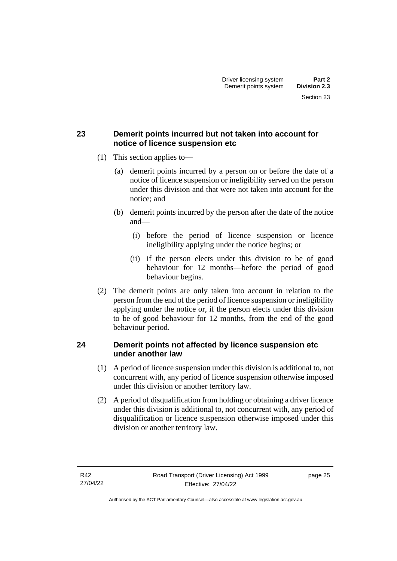## <span id="page-30-0"></span>**23 Demerit points incurred but not taken into account for notice of licence suspension etc**

- (1) This section applies to—
	- (a) demerit points incurred by a person on or before the date of a notice of licence suspension or ineligibility served on the person under this division and that were not taken into account for the notice; and
	- (b) demerit points incurred by the person after the date of the notice and—
		- (i) before the period of licence suspension or licence ineligibility applying under the notice begins; or
		- (ii) if the person elects under this division to be of good behaviour for 12 months—before the period of good behaviour begins.
- (2) The demerit points are only taken into account in relation to the person from the end of the period of licence suspension or ineligibility applying under the notice or, if the person elects under this division to be of good behaviour for 12 months, from the end of the good behaviour period.

### <span id="page-30-1"></span>**24 Demerit points not affected by licence suspension etc under another law**

- (1) A period of licence suspension under this division is additional to, not concurrent with, any period of licence suspension otherwise imposed under this division or another territory law.
- (2) A period of disqualification from holding or obtaining a driver licence under this division is additional to, not concurrent with, any period of disqualification or licence suspension otherwise imposed under this division or another territory law.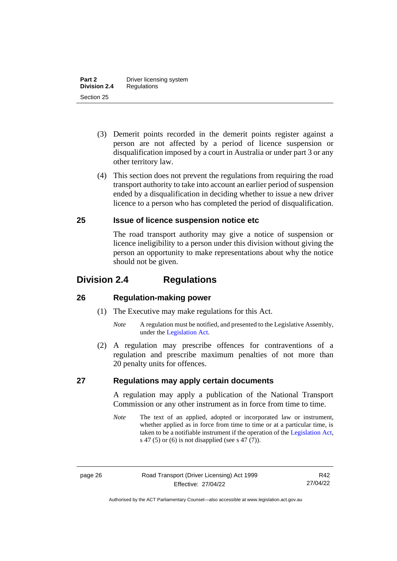- (3) Demerit points recorded in the demerit points register against a person are not affected by a period of licence suspension or disqualification imposed by a court in Australia or under part 3 or any other territory law.
- (4) This section does not prevent the regulations from requiring the road transport authority to take into account an earlier period of suspension ended by a disqualification in deciding whether to issue a new driver licence to a person who has completed the period of disqualification.

### <span id="page-31-0"></span>**25 Issue of licence suspension notice etc**

The road transport authority may give a notice of suspension or licence ineligibility to a person under this division without giving the person an opportunity to make representations about why the notice should not be given.

# <span id="page-31-1"></span>**Division 2.4 Regulations**

#### <span id="page-31-2"></span>**26 Regulation-making power**

- (1) The Executive may make regulations for this Act.
	- *Note* A regulation must be notified, and presented to the Legislative Assembly, under the [Legislation Act.](http://www.legislation.act.gov.au/a/2001-14)
- (2) A regulation may prescribe offences for contraventions of a regulation and prescribe maximum penalties of not more than 20 penalty units for offences.

#### <span id="page-31-3"></span>**27 Regulations may apply certain documents**

A regulation may apply a publication of the National Transport Commission or any other instrument as in force from time to time.

*Note* The text of an applied, adopted or incorporated law or instrument, whether applied as in force from time to time or at a particular time, is taken to be a notifiable instrument if the operation of the [Legislation](http://www.legislation.act.gov.au/a/2001-14) Act, s 47 (5) or (6) is not disapplied (see s 47 (7)).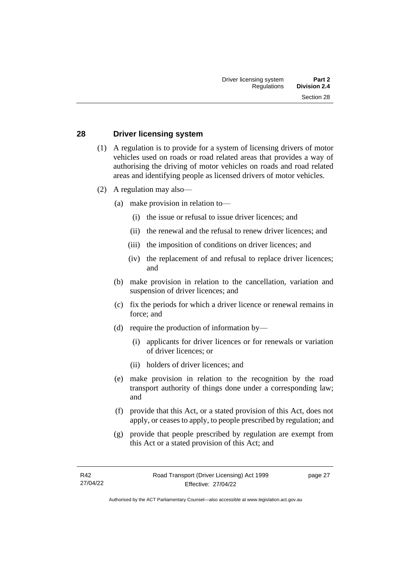#### <span id="page-32-0"></span>**28 Driver licensing system**

- (1) A regulation is to provide for a system of licensing drivers of motor vehicles used on roads or road related areas that provides a way of authorising the driving of motor vehicles on roads and road related areas and identifying people as licensed drivers of motor vehicles.
- (2) A regulation may also––
	- (a) make provision in relation to—
		- (i) the issue or refusal to issue driver licences; and
		- (ii) the renewal and the refusal to renew driver licences; and
		- (iii) the imposition of conditions on driver licences; and
		- (iv) the replacement of and refusal to replace driver licences; and
	- (b) make provision in relation to the cancellation, variation and suspension of driver licences; and
	- (c) fix the periods for which a driver licence or renewal remains in force; and
	- (d) require the production of information by—
		- (i) applicants for driver licences or for renewals or variation of driver licences; or
		- (ii) holders of driver licences; and
	- (e) make provision in relation to the recognition by the road transport authority of things done under a corresponding law; and
	- (f) provide that this Act, or a stated provision of this Act, does not apply, or ceases to apply, to people prescribed by regulation; and
	- (g) provide that people prescribed by regulation are exempt from this Act or a stated provision of this Act; and

page 27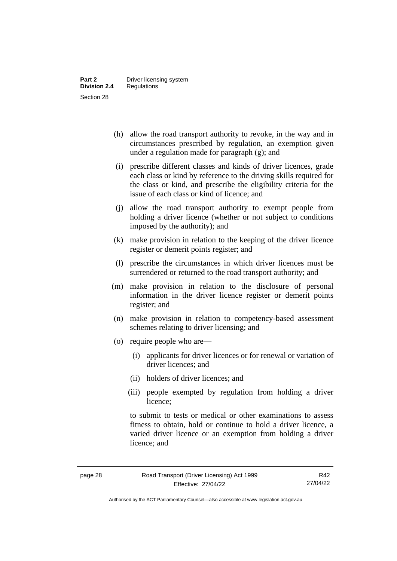- (h) allow the road transport authority to revoke, in the way and in circumstances prescribed by regulation, an exemption given under a regulation made for paragraph (g); and
- (i) prescribe different classes and kinds of driver licences, grade each class or kind by reference to the driving skills required for the class or kind, and prescribe the eligibility criteria for the issue of each class or kind of licence; and
- (j) allow the road transport authority to exempt people from holding a driver licence (whether or not subject to conditions imposed by the authority); and
- (k) make provision in relation to the keeping of the driver licence register or demerit points register; and
- (l) prescribe the circumstances in which driver licences must be surrendered or returned to the road transport authority; and
- (m) make provision in relation to the disclosure of personal information in the driver licence register or demerit points register; and
- (n) make provision in relation to competency-based assessment schemes relating to driver licensing; and
- (o) require people who are—
	- (i) applicants for driver licences or for renewal or variation of driver licences; and
	- (ii) holders of driver licences; and
	- (iii) people exempted by regulation from holding a driver licence;

to submit to tests or medical or other examinations to assess fitness to obtain, hold or continue to hold a driver licence, a varied driver licence or an exemption from holding a driver licence; and

R42 27/04/22

Authorised by the ACT Parliamentary Counsel—also accessible at www.legislation.act.gov.au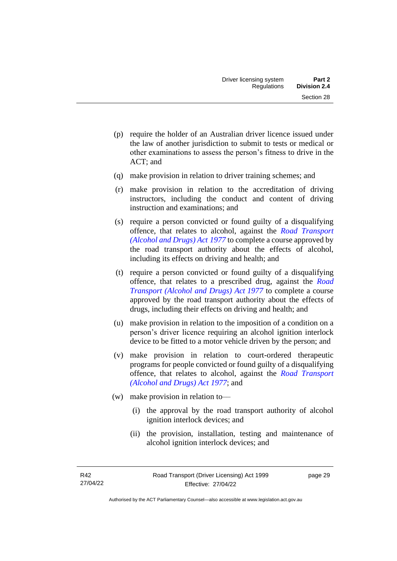- (p) require the holder of an Australian driver licence issued under the law of another jurisdiction to submit to tests or medical or other examinations to assess the person's fitness to drive in the ACT; and
- (q) make provision in relation to driver training schemes; and
- (r) make provision in relation to the accreditation of driving instructors, including the conduct and content of driving instruction and examinations; and
- (s) require a person convicted or found guilty of a disqualifying offence, that relates to alcohol, against the *[Road Transport](http://www.legislation.act.gov.au/a/1977-17)  [\(Alcohol and Drugs\) Act](http://www.legislation.act.gov.au/a/1977-17) 1977* to complete a course approved by the road transport authority about the effects of alcohol, including its effects on driving and health; and
- (t) require a person convicted or found guilty of a disqualifying offence, that relates to a prescribed drug, against the *[Road](http://www.legislation.act.gov.au/a/1977-17)  [Transport \(Alcohol and Drugs\) Act](http://www.legislation.act.gov.au/a/1977-17) 1977* to complete a course approved by the road transport authority about the effects of drugs, including their effects on driving and health; and
- (u) make provision in relation to the imposition of a condition on a person's driver licence requiring an alcohol ignition interlock device to be fitted to a motor vehicle driven by the person; and
- (v) make provision in relation to court-ordered therapeutic programs for people convicted or found guilty of a disqualifying offence, that relates to alcohol, against the *[Road Transport](http://www.legislation.act.gov.au/a/1977-17)  [\(Alcohol and Drugs\) Act 1977](http://www.legislation.act.gov.au/a/1977-17)*; and
- (w) make provision in relation to—
	- (i) the approval by the road transport authority of alcohol ignition interlock devices; and
	- (ii) the provision, installation, testing and maintenance of alcohol ignition interlock devices; and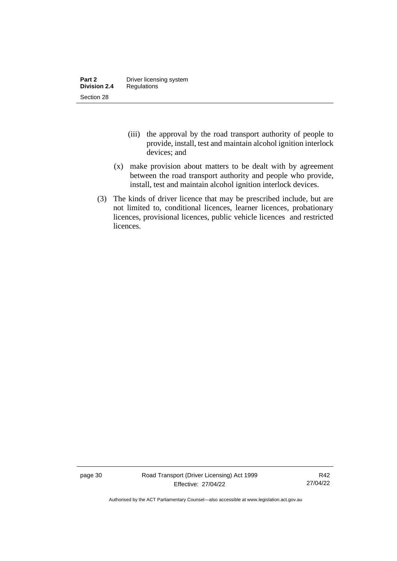- (iii) the approval by the road transport authority of people to provide, install, test and maintain alcohol ignition interlock devices; and
- (x) make provision about matters to be dealt with by agreement between the road transport authority and people who provide, install, test and maintain alcohol ignition interlock devices.
- (3) The kinds of driver licence that may be prescribed include, but are not limited to, conditional licences, learner licences, probationary licences, provisional licences, public vehicle licences and restricted licences.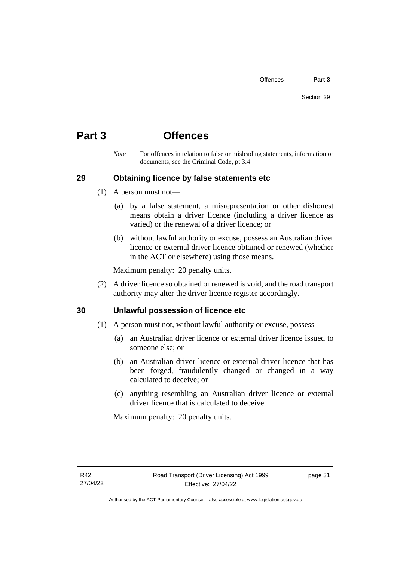# **Part 3 Offences**

*Note* For offences in relation to false or misleading statements, information or documents, see the Criminal Code, pt 3.4

# **29 Obtaining licence by false statements etc**

- (1) A person must not—
	- (a) by a false statement, a misrepresentation or other dishonest means obtain a driver licence (including a driver licence as varied) or the renewal of a driver licence; or
	- (b) without lawful authority or excuse, possess an Australian driver licence or external driver licence obtained or renewed (whether in the ACT or elsewhere) using those means.

Maximum penalty: 20 penalty units.

(2) A driver licence so obtained or renewed is void, and the road transport authority may alter the driver licence register accordingly.

# **30 Unlawful possession of licence etc**

- (1) A person must not, without lawful authority or excuse, possess—
	- (a) an Australian driver licence or external driver licence issued to someone else; or
	- (b) an Australian driver licence or external driver licence that has been forged, fraudulently changed or changed in a way calculated to deceive; or
	- (c) anything resembling an Australian driver licence or external driver licence that is calculated to deceive.

Maximum penalty: 20 penalty units.

page 31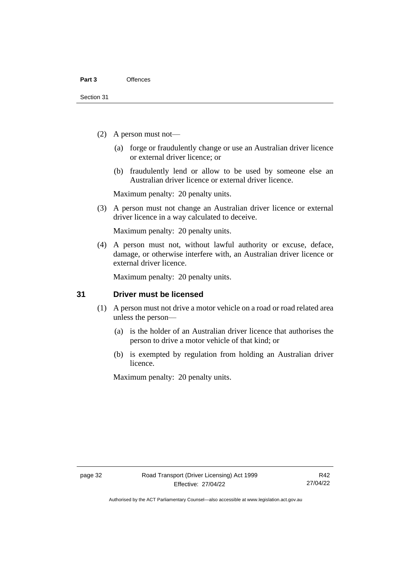- (2) A person must not—
	- (a) forge or fraudulently change or use an Australian driver licence or external driver licence; or
	- (b) fraudulently lend or allow to be used by someone else an Australian driver licence or external driver licence.

Maximum penalty: 20 penalty units.

(3) A person must not change an Australian driver licence or external driver licence in a way calculated to deceive.

Maximum penalty: 20 penalty units.

(4) A person must not, without lawful authority or excuse, deface, damage, or otherwise interfere with, an Australian driver licence or external driver licence.

Maximum penalty: 20 penalty units.

# **31 Driver must be licensed**

- (1) A person must not drive a motor vehicle on a road or road related area unless the person—
	- (a) is the holder of an Australian driver licence that authorises the person to drive a motor vehicle of that kind; or
	- (b) is exempted by regulation from holding an Australian driver licence.

Maximum penalty: 20 penalty units.

Authorised by the ACT Parliamentary Counsel—also accessible at www.legislation.act.gov.au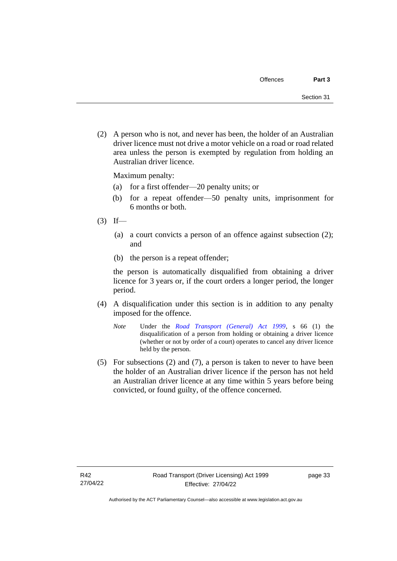(2) A person who is not, and never has been, the holder of an Australian driver licence must not drive a motor vehicle on a road or road related area unless the person is exempted by regulation from holding an Australian driver licence.

Maximum penalty:

- (a) for a first offender—20 penalty units; or
- (b) for a repeat offender—50 penalty units, imprisonment for 6 months or both.
- $(3)$  If—
	- (a) a court convicts a person of an offence against subsection (2); and
	- (b) the person is a repeat offender;

the person is automatically disqualified from obtaining a driver licence for 3 years or, if the court orders a longer period, the longer period.

- (4) A disqualification under this section is in addition to any penalty imposed for the offence.
	- *Note* Under the *[Road Transport \(General\) Act 1999](http://www.legislation.act.gov.au/a/1999-77)*, s 66 (1) the disqualification of a person from holding or obtaining a driver licence (whether or not by order of a court) operates to cancel any driver licence held by the person.
- (5) For subsections (2) and (7), a person is taken to never to have been the holder of an Australian driver licence if the person has not held an Australian driver licence at any time within 5 years before being convicted, or found guilty, of the offence concerned.

page 33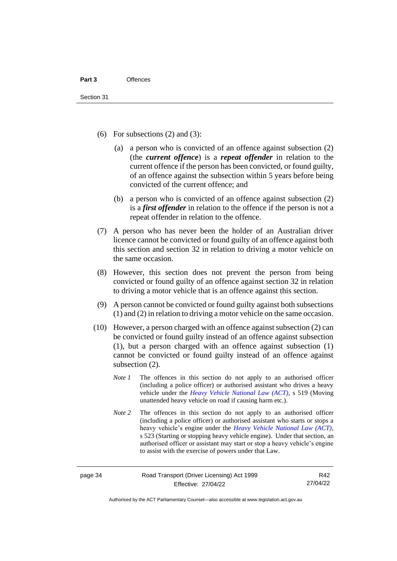- (6) For subsections  $(2)$  and  $(3)$ :
	- (a) a person who is convicted of an offence against subsection (2) (the *current offence*) is a *repeat offender* in relation to the current offence if the person has been convicted, or found guilty, of an offence against the subsection within 5 years before being convicted of the current offence; and
	- (b) a person who is convicted of an offence against subsection (2) is a *first offender* in relation to the offence if the person is not a repeat offender in relation to the offence.
- (7) A person who has never been the holder of an Australian driver licence cannot be convicted or found guilty of an offence against both this section and section 32 in relation to driving a motor vehicle on the same occasion.
- (8) However, this section does not prevent the person from being convicted or found guilty of an offence against section 32 in relation to driving a motor vehicle that is an offence against this section.
- (9) A person cannot be convicted or found guilty against both subsections (1) and (2) in relation to driving a motor vehicle on the same occasion.
- (10) However, a person charged with an offence against subsection (2) can be convicted or found guilty instead of an offence against subsection (1), but a person charged with an offence against subsection (1) cannot be convicted or found guilty instead of an offence against subsection (2).
	- *Note 1* The offences in this section do not apply to an authorised officer (including a police officer) or authorised assistant who drives a heavy vehicle under the *Heavy Vehicle [National Law \(ACT\)](http://www.legislation.act.gov.au/a/db_49155/default.asp)*, s 519 (Moving unattended heavy vehicle on road if causing harm etc.).
	- *Note* 2 The offences in this section do not apply to an authorised officer (including a police officer) or authorised assistant who starts or stops a heavy vehicle's engine under the *[Heavy Vehicle National Law \(ACT\)](http://www.legislation.act.gov.au/a/db_49155/default.asp)*, s 523 (Starting or stopping heavy vehicle engine). Under that section, an authorised officer or assistant may start or stop a heavy vehicle's engine to assist with the exercise of powers under that Law.

page 34 Road Transport (Driver Licensing) Act 1999 Effective: 27/04/22

R42 27/04/22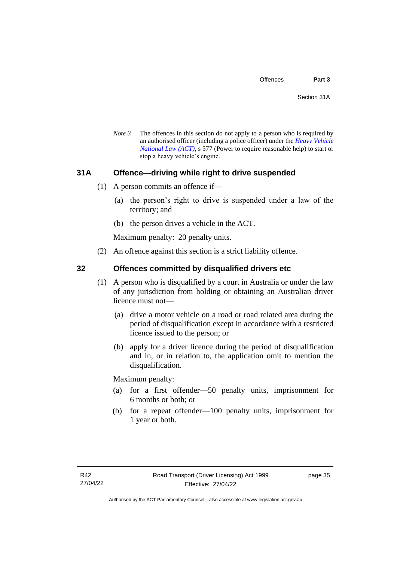*Note 3* The offences in this section do not apply to a person who is required by an authorised officer (including a police officer) under the *[Heavy Vehicle](http://www.legislation.act.gov.au/a/db_49155/default.asp)  [National Law \(ACT\)](http://www.legislation.act.gov.au/a/db_49155/default.asp)*, s 577 (Power to require reasonable help) to start or stop a heavy vehicle's engine.

# **31A Offence—driving while right to drive suspended**

- (1) A person commits an offence if—
	- (a) the person's right to drive is suspended under a law of the territory; and
	- (b) the person drives a vehicle in the ACT.

Maximum penalty: 20 penalty units.

(2) An offence against this section is a strict liability offence.

# **32 Offences committed by disqualified drivers etc**

- (1) A person who is disqualified by a court in Australia or under the law of any jurisdiction from holding or obtaining an Australian driver licence must not—
	- (a) drive a motor vehicle on a road or road related area during the period of disqualification except in accordance with a restricted licence issued to the person; or
	- (b) apply for a driver licence during the period of disqualification and in, or in relation to, the application omit to mention the disqualification.

Maximum penalty:

- (a) for a first offender—50 penalty units, imprisonment for 6 months or both; or
- (b) for a repeat offender—100 penalty units, imprisonment for 1 year or both.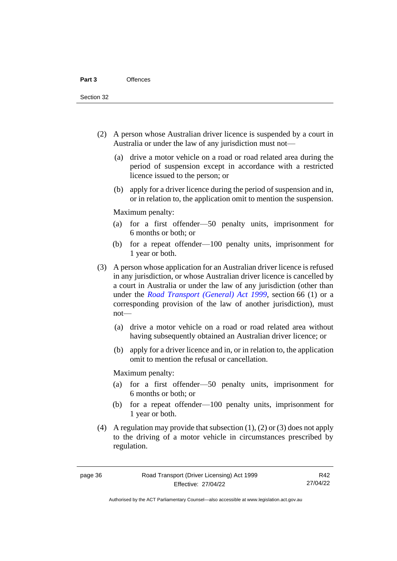Section 32

- (2) A person whose Australian driver licence is suspended by a court in Australia or under the law of any jurisdiction must not—
	- (a) drive a motor vehicle on a road or road related area during the period of suspension except in accordance with a restricted licence issued to the person; or
	- (b) apply for a driver licence during the period of suspension and in, or in relation to, the application omit to mention the suspension.

Maximum penalty:

- (a) for a first offender—50 penalty units, imprisonment for 6 months or both; or
- (b) for a repeat offender—100 penalty units, imprisonment for 1 year or both.
- (3) A person whose application for an Australian driver licence is refused in any jurisdiction, or whose Australian driver licence is cancelled by a court in Australia or under the law of any jurisdiction (other than under the *[Road Transport \(General\) Act 1999](http://www.legislation.act.gov.au/a/1999-77)*, section 66 (1) or a corresponding provision of the law of another jurisdiction), must not—
	- (a) drive a motor vehicle on a road or road related area without having subsequently obtained an Australian driver licence; or
	- (b) apply for a driver licence and in, or in relation to, the application omit to mention the refusal or cancellation.

Maximum penalty:

- (a) for a first offender—50 penalty units, imprisonment for 6 months or both; or
- (b) for a repeat offender—100 penalty units, imprisonment for 1 year or both.
- (4) A regulation may provide that subsection (1), (2) or (3) does not apply to the driving of a motor vehicle in circumstances prescribed by regulation.

R42 27/04/22

Authorised by the ACT Parliamentary Counsel—also accessible at www.legislation.act.gov.au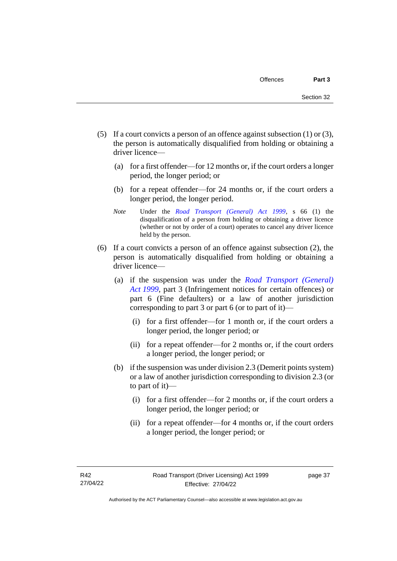- (5) If a court convicts a person of an offence against subsection (1) or (3), the person is automatically disqualified from holding or obtaining a driver licence—
	- (a) for a first offender—for 12 months or, if the court orders a longer period, the longer period; or
	- (b) for a repeat offender—for 24 months or, if the court orders a longer period, the longer period.
	- *Note* Under the *[Road Transport \(General\) Act 1999](http://www.legislation.act.gov.au/a/1999-77)*, s 66 (1) the disqualification of a person from holding or obtaining a driver licence (whether or not by order of a court) operates to cancel any driver licence held by the person.
- (6) If a court convicts a person of an offence against subsection (2), the person is automatically disqualified from holding or obtaining a driver licence—
	- (a) if the suspension was under the *[Road Transport \(General\)](http://www.legislation.act.gov.au/a/1999-77)  Act [1999](http://www.legislation.act.gov.au/a/1999-77)*, part 3 (Infringement notices for certain offences) or part 6 (Fine defaulters) or a law of another jurisdiction corresponding to part 3 or part 6 (or to part of it)—
		- (i) for a first offender—for 1 month or, if the court orders a longer period, the longer period; or
		- (ii) for a repeat offender—for 2 months or, if the court orders a longer period, the longer period; or
	- (b) if the suspension was under division 2.3 (Demerit points system) or a law of another jurisdiction corresponding to division 2.3 (or to part of it)—
		- (i) for a first offender—for 2 months or, if the court orders a longer period, the longer period; or
		- (ii) for a repeat offender—for 4 months or, if the court orders a longer period, the longer period; or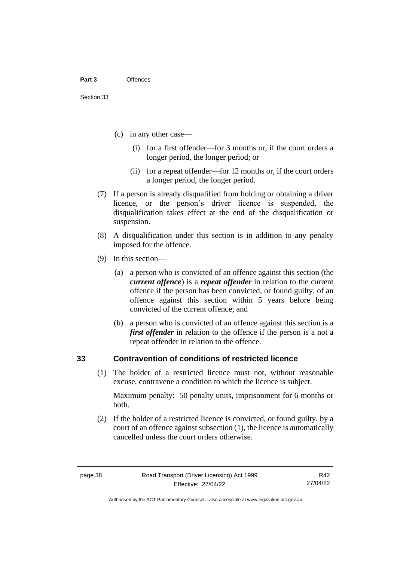#### **Part 3** Offences

- (c) in any other case—
	- (i) for a first offender—for 3 months or, if the court orders a longer period, the longer period; or
	- (ii) for a repeat offender—for 12 months or, if the court orders a longer period, the longer period.
- (7) If a person is already disqualified from holding or obtaining a driver licence, or the person's driver licence is suspended, the disqualification takes effect at the end of the disqualification or suspension.
- (8) A disqualification under this section is in addition to any penalty imposed for the offence.
- (9) In this section—
	- (a) a person who is convicted of an offence against this section (the *current offence*) is a *repeat offender* in relation to the current offence if the person has been convicted, or found guilty, of an offence against this section within 5 years before being convicted of the current offence; and
	- (b) a person who is convicted of an offence against this section is a *first offender* in relation to the offence if the person is a not a repeat offender in relation to the offence.

### **33 Contravention of conditions of restricted licence**

(1) The holder of a restricted licence must not, without reasonable excuse, contravene a condition to which the licence is subject.

Maximum penalty: 50 penalty units, imprisonment for 6 months or both.

(2) If the holder of a restricted licence is convicted, or found guilty, by a court of an offence against subsection (1), the licence is automatically cancelled unless the court orders otherwise.

R42 27/04/22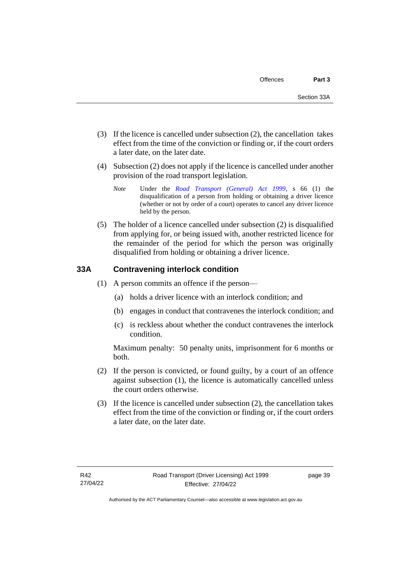- (3) If the licence is cancelled under subsection (2), the cancellation takes effect from the time of the conviction or finding or, if the court orders a later date, on the later date.
- (4) Subsection (2) does not apply if the licence is cancelled under another provision of the road transport legislation.
	- *Note* Under the *[Road Transport \(General\) Act 1999](http://www.legislation.act.gov.au/a/1999-77)*, s 66 (1) the disqualification of a person from holding or obtaining a driver licence (whether or not by order of a court) operates to cancel any driver licence held by the person.
- (5) The holder of a licence cancelled under subsection (2) is disqualified from applying for, or being issued with, another restricted licence for the remainder of the period for which the person was originally disqualified from holding or obtaining a driver licence.

# **33A Contravening interlock condition**

- (1) A person commits an offence if the person––
	- (a) holds a driver licence with an interlock condition; and
	- (b) engages in conduct that contravenes the interlock condition; and
	- (c) is reckless about whether the conduct contravenes the interlock condition.

Maximum penalty: 50 penalty units, imprisonment for 6 months or both.

- (2) If the person is convicted, or found guilty, by a court of an offence against subsection (1), the licence is automatically cancelled unless the court orders otherwise.
- (3) If the licence is cancelled under subsection (2), the cancellation takes effect from the time of the conviction or finding or, if the court orders a later date, on the later date.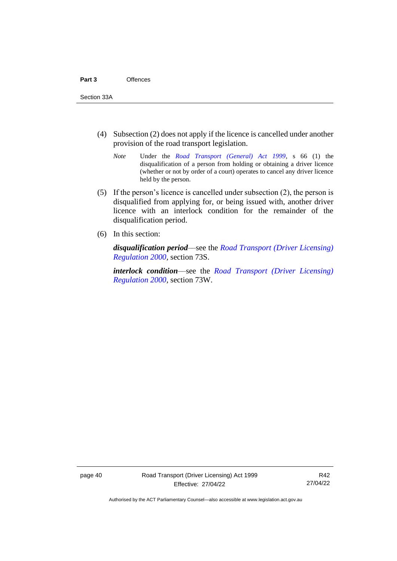- (4) Subsection (2) does not apply if the licence is cancelled under another provision of the road transport legislation.
	- *Note* Under the *[Road Transport \(General\) Act 1999](http://www.legislation.act.gov.au/a/1999-77)*, s 66 (1) the disqualification of a person from holding or obtaining a driver licence (whether or not by order of a court) operates to cancel any driver licence held by the person.
- (5) If the person's licence is cancelled under subsection (2), the person is disqualified from applying for, or being issued with, another driver licence with an interlock condition for the remainder of the disqualification period.
- (6) In this section:

*disqualification period*––see the *[Road Transport \(Driver Licensing\)](http://www.legislation.act.gov.au/sl/2000-14)  [Regulation 2000,](http://www.legislation.act.gov.au/sl/2000-14)* section 73S.

*interlock condition*––see the *[Road Transport \(Driver Licensing\)](http://www.legislation.act.gov.au/sl/2000-14)  [Regulation 2000,](http://www.legislation.act.gov.au/sl/2000-14)* section 73W.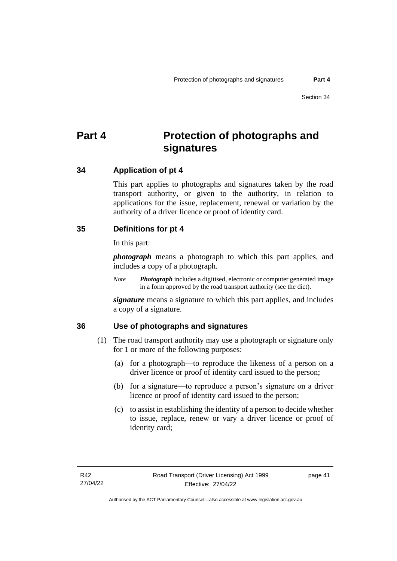# **Part 4 Protection of photographs and signatures**

# **34 Application of pt 4**

This part applies to photographs and signatures taken by the road transport authority, or given to the authority, in relation to applications for the issue, replacement, renewal or variation by the authority of a driver licence or proof of identity card.

# **35 Definitions for pt 4**

In this part:

*photograph* means a photograph to which this part applies, and includes a copy of a photograph.

*Note Photograph* includes a digitised, electronic or computer generated image in a form approved by the road transport authority (see the dict).

*signature* means a signature to which this part applies, and includes a copy of a signature.

# **36 Use of photographs and signatures**

- (1) The road transport authority may use a photograph or signature only for 1 or more of the following purposes:
	- (a) for a photograph—to reproduce the likeness of a person on a driver licence or proof of identity card issued to the person;
	- (b) for a signature—to reproduce a person's signature on a driver licence or proof of identity card issued to the person;
	- (c) to assist in establishing the identity of a person to decide whether to issue, replace, renew or vary a driver licence or proof of identity card;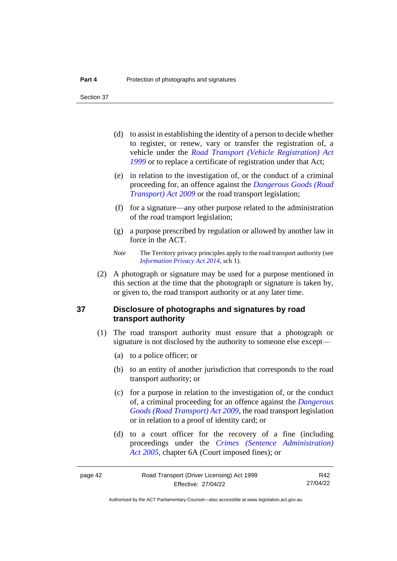Section 37

- (d) to assist in establishing the identity of a person to decide whether to register, or renew, vary or transfer the registration of, a vehicle under the *[Road Transport \(Vehicle Registration\) Act](http://www.legislation.act.gov.au/a/1999-81)  [1999](http://www.legislation.act.gov.au/a/1999-81)* or to replace a certificate of registration under that Act;
- (e) in relation to the investigation of, or the conduct of a criminal proceeding for, an offence against the *[Dangerous Goods \(Road](http://www.legislation.act.gov.au/a/2009-34)  [Transport\) Act 2009](http://www.legislation.act.gov.au/a/2009-34)* or the road transport legislation;
- (f) for a signature—any other purpose related to the administration of the road transport legislation;
- (g) a purpose prescribed by regulation or allowed by another law in force in the ACT.
- *Note* The Territory privacy principles apply to the road transport authority (see *[Information Privacy Act 2014](http://www.legislation.act.gov.au/a/2014-24/default.asp)*, sch 1).
- (2) A photograph or signature may be used for a purpose mentioned in this section at the time that the photograph or signature is taken by, or given to, the road transport authority or at any later time.

# **37 Disclosure of photographs and signatures by road transport authority**

- (1) The road transport authority must ensure that a photograph or signature is not disclosed by the authority to someone else except—
	- (a) to a police officer; or
	- (b) to an entity of another jurisdiction that corresponds to the road transport authority; or
	- (c) for a purpose in relation to the investigation of, or the conduct of, a criminal proceeding for an offence against the *[Dangerous](http://www.legislation.act.gov.au/a/2009-34)  [Goods \(Road Transport\) Act 2009](http://www.legislation.act.gov.au/a/2009-34)*, the road transport legislation or in relation to a proof of identity card; or
	- (d) to a court officer for the recovery of a fine (including proceedings under the *[Crimes \(Sentence Administration\)](http://www.legislation.act.gov.au/a/2005-59)  Act [2005](http://www.legislation.act.gov.au/a/2005-59)*, chapter 6A (Court imposed fines); or

R42 27/04/22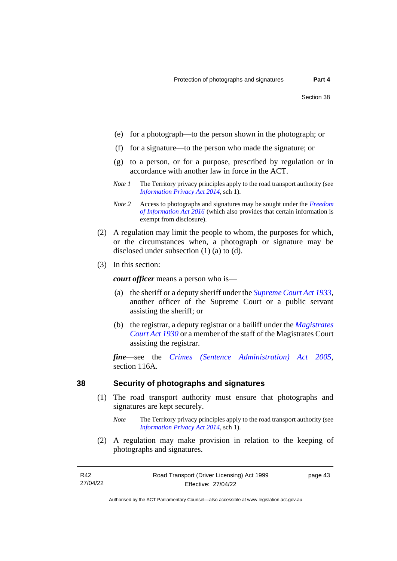- (e) for a photograph—to the person shown in the photograph; or
- (f) for a signature—to the person who made the signature; or
- (g) to a person, or for a purpose, prescribed by regulation or in accordance with another law in force in the ACT.
- *Note 1* The Territory privacy principles apply to the road transport authority (see *[Information Privacy Act 2014](http://www.legislation.act.gov.au/a/2014-24/default.asp)*, sch 1).
- *Note 2* Access to photographs and signatures may be sought under the *[Freedom](http://www.legislation.act.gov.au/a/2016-55/default.asp)  [of Information Act 2016](http://www.legislation.act.gov.au/a/2016-55/default.asp)* (which also provides that certain information is exempt from disclosure).
- (2) A regulation may limit the people to whom, the purposes for which, or the circumstances when, a photograph or signature may be disclosed under subsection (1) (a) to (d).
- (3) In this section:

*court officer* means a person who is—

- (a) the sheriff or a deputy sheriff under the *[Supreme Court Act 1933](http://www.legislation.act.gov.au/a/1933-34)*, another officer of the Supreme Court or a public servant assisting the sheriff; or
- (b) the registrar, a deputy registrar or a bailiff under the *[Magistrates](http://www.legislation.act.gov.au/a/1930-21)  [Court Act 1930](http://www.legislation.act.gov.au/a/1930-21)* or a member of the staff of the Magistrates Court assisting the registrar.

*fine*—see the *[Crimes \(Sentence Administration\) Act 2005](http://www.legislation.act.gov.au/a/2005-59)*, section 116A.

# **38 Security of photographs and signatures**

- (1) The road transport authority must ensure that photographs and signatures are kept securely.
	- *Note* The Territory privacy principles apply to the road transport authority (see *[Information Privacy Act 2014](http://www.legislation.act.gov.au/a/2014-24/default.asp)*, sch 1).
- (2) A regulation may make provision in relation to the keeping of photographs and signatures.

page 43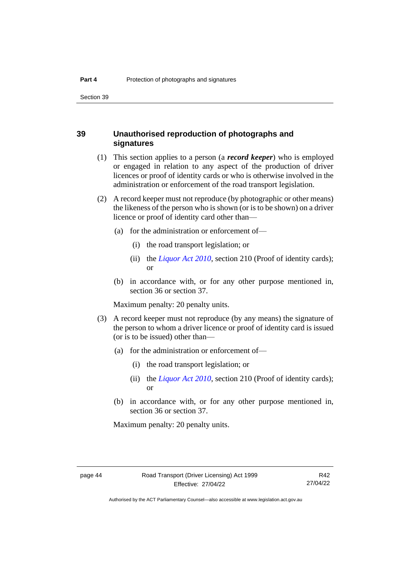Section 39

# **39 Unauthorised reproduction of photographs and signatures**

- (1) This section applies to a person (a *record keeper*) who is employed or engaged in relation to any aspect of the production of driver licences or proof of identity cards or who is otherwise involved in the administration or enforcement of the road transport legislation.
- (2) A record keeper must not reproduce (by photographic or other means) the likeness of the person who is shown (or is to be shown) on a driver licence or proof of identity card other than—
	- (a) for the administration or enforcement of—
		- (i) the road transport legislation; or
		- (ii) the *[Liquor Act 2010](http://www.legislation.act.gov.au/a/2010-35)*, section 210 (Proof of identity cards); or
	- (b) in accordance with, or for any other purpose mentioned in, section 36 or section 37.

Maximum penalty: 20 penalty units.

- (3) A record keeper must not reproduce (by any means) the signature of the person to whom a driver licence or proof of identity card is issued (or is to be issued) other than—
	- (a) for the administration or enforcement of—
		- (i) the road transport legislation; or
		- (ii) the *[Liquor Act 2010](http://www.legislation.act.gov.au/a/2010-35)*, section 210 (Proof of identity cards); or
	- (b) in accordance with, or for any other purpose mentioned in, section 36 or section 37.

Maximum penalty: 20 penalty units.

R42 27/04/22

Authorised by the ACT Parliamentary Counsel—also accessible at www.legislation.act.gov.au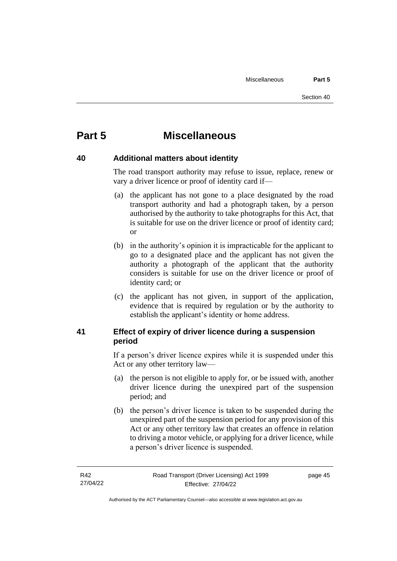# **Part 5 Miscellaneous**

# **40 Additional matters about identity**

The road transport authority may refuse to issue, replace, renew or vary a driver licence or proof of identity card if—

- (a) the applicant has not gone to a place designated by the road transport authority and had a photograph taken, by a person authorised by the authority to take photographs for this Act, that is suitable for use on the driver licence or proof of identity card; or
- (b) in the authority's opinion it is impracticable for the applicant to go to a designated place and the applicant has not given the authority a photograph of the applicant that the authority considers is suitable for use on the driver licence or proof of identity card; or
- (c) the applicant has not given, in support of the application, evidence that is required by regulation or by the authority to establish the applicant's identity or home address.

# **41 Effect of expiry of driver licence during a suspension period**

If a person's driver licence expires while it is suspended under this Act or any other territory law—

- (a) the person is not eligible to apply for, or be issued with, another driver licence during the unexpired part of the suspension period; and
- (b) the person's driver licence is taken to be suspended during the unexpired part of the suspension period for any provision of this Act or any other territory law that creates an offence in relation to driving a motor vehicle, or applying for a driver licence, while a person's driver licence is suspended.

page 45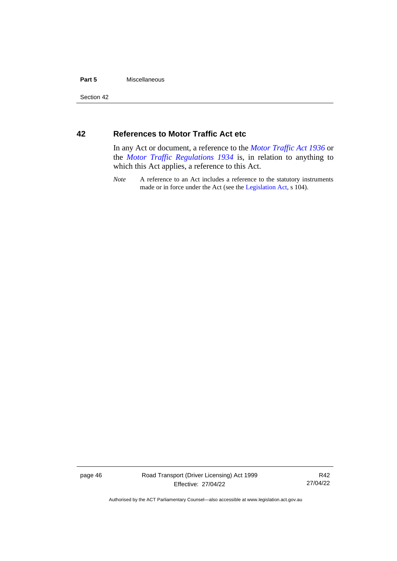# **Part 5** Miscellaneous

Section 42

# **42 References to Motor Traffic Act etc**

In any Act or document, a reference to the *[Motor Traffic Act 1936](http://www.legislation.act.gov.au/a/1936-45)* or the *[Motor Traffic Regulations 1934](http://www.legislation.act.gov.au/sl/1934-6/default.asp)* is, in relation to anything to which this Act applies, a reference to this Act.

*Note* A reference to an Act includes a reference to the statutory instruments made or in force under the Act (see the [Legislation Act,](http://www.legislation.act.gov.au/a/2001-14) s 104).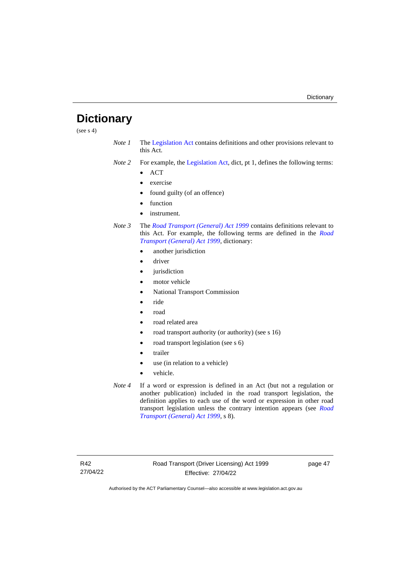# **Dictionary**

(see  $s$  4)

- *Note 1* The [Legislation Act](http://www.legislation.act.gov.au/a/2001-14) contains definitions and other provisions relevant to this Act.
- *Note 2* For example, the [Legislation Act,](http://www.legislation.act.gov.au/a/2001-14) dict, pt 1, defines the following terms:
	- ACT
	- exercise
	- found guilty (of an offence)
	- function
	- instrument.
- *Note 3* The *[Road Transport \(General\) Act 1999](http://www.legislation.act.gov.au/a/1999-77)* contains definitions relevant to this Act. For example, the following terms are defined in the *[Road](http://www.legislation.act.gov.au/a/1999-77)  [Transport \(General\) Act 1999](http://www.legislation.act.gov.au/a/1999-77)*, dictionary:
	- another jurisdiction
	- driver
	- jurisdiction
	- motor vehicle
	- National Transport Commission
	- ride
	- road
	- road related area
	- road transport authority (or authority) (see s 16)
	- road transport legislation (see s 6)
	- trailer
	- use (in relation to a vehicle)
	- vehicle.
- *Note 4* If a word or expression is defined in an Act (but not a regulation or another publication) included in the road transport legislation, the definition applies to each use of the word or expression in other road transport legislation unless the contrary intention appears (see *[Road](http://www.legislation.act.gov.au/a/1999-77)  [Transport \(General\) Act 1999](http://www.legislation.act.gov.au/a/1999-77)*, s 8).

page 47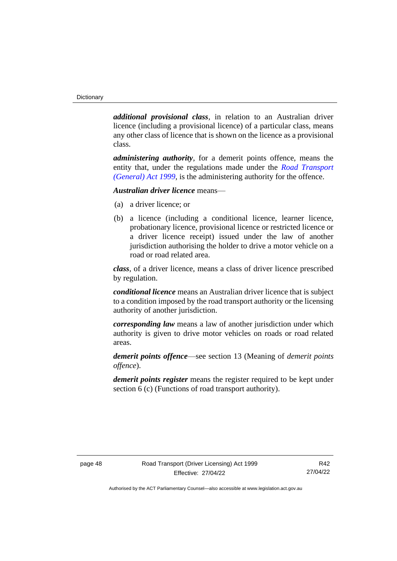*additional provisional class*, in relation to an Australian driver licence (including a provisional licence) of a particular class, means any other class of licence that is shown on the licence as a provisional class.

*administering authority*, for a demerit points offence, means the entity that, under the regulations made under the *[Road Transport](http://www.legislation.act.gov.au/a/1999-77)  [\(General\) Act 1999](http://www.legislation.act.gov.au/a/1999-77)*, is the administering authority for the offence.

# *Australian driver licence* means—

- (a) a driver licence; or
- (b) a licence (including a conditional licence, learner licence, probationary licence, provisional licence or restricted licence or a driver licence receipt) issued under the law of another jurisdiction authorising the holder to drive a motor vehicle on a road or road related area.

*class*, of a driver licence, means a class of driver licence prescribed by regulation.

*conditional licence* means an Australian driver licence that is subject to a condition imposed by the road transport authority or the licensing authority of another jurisdiction.

*corresponding law* means a law of another jurisdiction under which authority is given to drive motor vehicles on roads or road related areas.

*demerit points offence*—see section 13 (Meaning of *demerit points offence*).

*demerit points register* means the register required to be kept under section 6 (c) (Functions of road transport authority).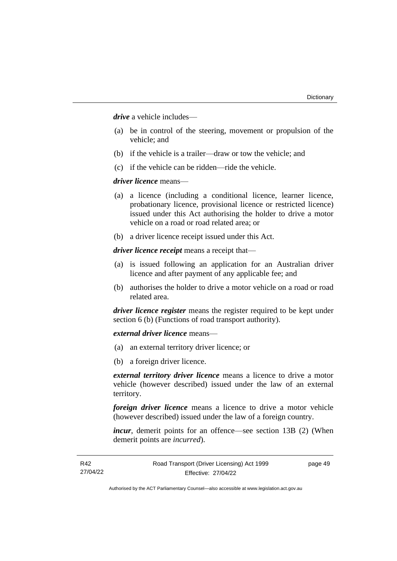*drive* a vehicle includes—

- (a) be in control of the steering, movement or propulsion of the vehicle; and
- (b) if the vehicle is a trailer—draw or tow the vehicle; and
- (c) if the vehicle can be ridden—ride the vehicle.

### *driver licence* means—

- (a) a licence (including a conditional licence, learner licence, probationary licence, provisional licence or restricted licence) issued under this Act authorising the holder to drive a motor vehicle on a road or road related area; or
- (b) a driver licence receipt issued under this Act.

*driver licence receipt* means a receipt that—

- (a) is issued following an application for an Australian driver licence and after payment of any applicable fee; and
- (b) authorises the holder to drive a motor vehicle on a road or road related area.

*driver licence register* means the register required to be kept under section 6 (b) (Functions of road transport authority).

*external driver licence* means—

- (a) an external territory driver licence; or
- (b) a foreign driver licence.

*external territory driver licence* means a licence to drive a motor vehicle (however described) issued under the law of an external territory.

*foreign driver licence* means a licence to drive a motor vehicle (however described) issued under the law of a foreign country.

*incur*, demerit points for an offence—see section 13B (2) (When demerit points are *incurred*).

R42 27/04/22 Road Transport (Driver Licensing) Act 1999 Effective: 27/04/22 page 49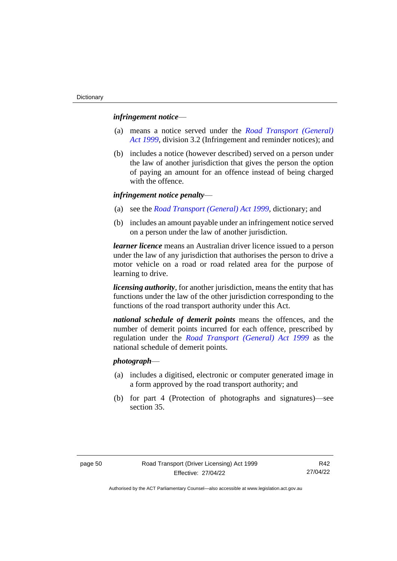### *infringement notice*—

- (a) means a notice served under the *[Road Transport \(General\)](http://www.legislation.act.gov.au/a/1999-77)  Act [1999](http://www.legislation.act.gov.au/a/1999-77)*, division 3.2 (Infringement and reminder notices); and
- (b) includes a notice (however described) served on a person under the law of another jurisdiction that gives the person the option of paying an amount for an offence instead of being charged with the offence.

# *infringement notice penalty*—

- (a) see the *[Road Transport \(General\) Act 1999](http://www.legislation.act.gov.au/a/1999-77)*, dictionary; and
- (b) includes an amount payable under an infringement notice served on a person under the law of another jurisdiction.

*learner licence* means an Australian driver licence issued to a person under the law of any jurisdiction that authorises the person to drive a motor vehicle on a road or road related area for the purpose of learning to drive.

*licensing authority*, for another jurisdiction, means the entity that has functions under the law of the other jurisdiction corresponding to the functions of the road transport authority under this Act.

*national schedule of demerit points* means the offences, and the number of demerit points incurred for each offence, prescribed by regulation under the *[Road Transport \(General\) Act 1999](http://www.legislation.act.gov.au/a/1999-77)* as the national schedule of demerit points.

# *photograph*—

- (a) includes a digitised, electronic or computer generated image in a form approved by the road transport authority; and
- (b) for part 4 (Protection of photographs and signatures)—see section 35.

R42 27/04/22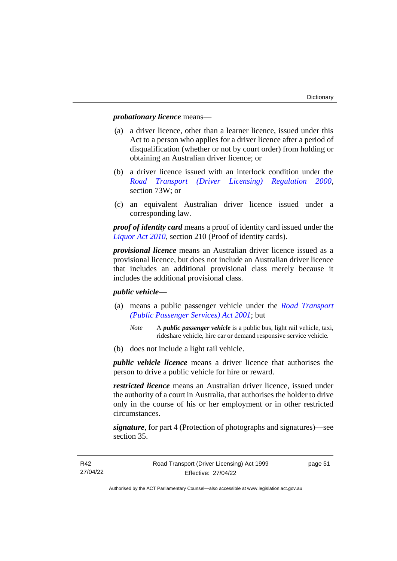# *probationary licence* means—

- (a) a driver licence, other than a learner licence, issued under this Act to a person who applies for a driver licence after a period of disqualification (whether or not by court order) from holding or obtaining an Australian driver licence; or
- (b) a driver licence issued with an interlock condition under the *[Road Transport \(Driver Licensing\) Regulation 2000](http://www.legislation.act.gov.au/sl/2000-14)*, section 73W; or
- (c) an equivalent Australian driver licence issued under a corresponding law.

*proof of identity card* means a proof of identity card issued under the *[Liquor Act 2010](http://www.legislation.act.gov.au/a/2010-35)*, section 210 (Proof of identity cards).

*provisional licence* means an Australian driver licence issued as a provisional licence, but does not include an Australian driver licence that includes an additional provisional class merely because it includes the additional provisional class.

# *public vehicle—*

- (a) means a public passenger vehicle under the *[Road Transport](http://www.legislation.act.gov.au/a/2001-62)  [\(Public Passenger Services\) Act 2001](http://www.legislation.act.gov.au/a/2001-62)*; but
	- *Note* A *public passenger vehicle* is a public bus, light rail vehicle, taxi, rideshare vehicle, hire car or demand responsive service vehicle.
- (b) does not include a light rail vehicle.

*public vehicle licence* means a driver licence that authorises the person to drive a public vehicle for hire or reward.

*restricted licence* means an Australian driver licence, issued under the authority of a court in Australia, that authorises the holder to drive only in the course of his or her employment or in other restricted circumstances.

*signature*, for part 4 (Protection of photographs and signatures)—see section 35.

page 51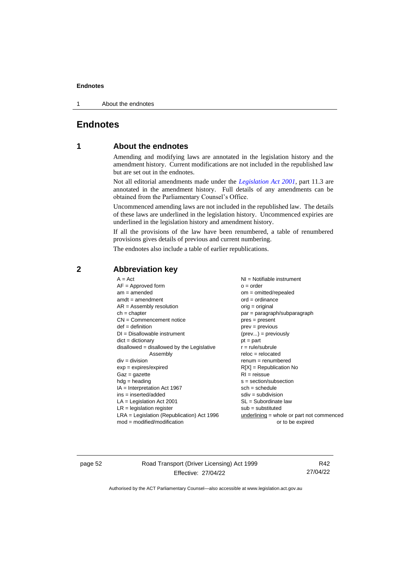1 About the endnotes

# **Endnotes**

# **1 About the endnotes**

Amending and modifying laws are annotated in the legislation history and the amendment history. Current modifications are not included in the republished law but are set out in the endnotes.

Not all editorial amendments made under the *[Legislation Act 2001](http://www.legislation.act.gov.au/a/2001-14)*, part 11.3 are annotated in the amendment history. Full details of any amendments can be obtained from the Parliamentary Counsel's Office.

Uncommenced amending laws are not included in the republished law. The details of these laws are underlined in the legislation history. Uncommenced expiries are underlined in the legislation history and amendment history.

If all the provisions of the law have been renumbered, a table of renumbered provisions gives details of previous and current numbering.

The endnotes also include a table of earlier republications.

| $A = Act$<br>$AF =$ Approved form<br>$am = amended$<br>$amdt = amendment$<br>$AR = Assembly resolution$<br>$ch = chapter$<br>$CN =$ Commencement notice | $NI =$ Notifiable instrument<br>$o = order$<br>$om = omitted/repealed$<br>$ord = ordinance$<br>$orig = original$<br>par = paragraph/subparagraph<br>$pres = present$ |
|---------------------------------------------------------------------------------------------------------------------------------------------------------|----------------------------------------------------------------------------------------------------------------------------------------------------------------------|
| $def = definition$                                                                                                                                      | $prev = previous$                                                                                                                                                    |
| $DI = Disallowable instrument$                                                                                                                          | $(\text{prev}) = \text{previously}$                                                                                                                                  |
| $dict = dictionary$                                                                                                                                     | $pt = part$                                                                                                                                                          |
| $disallowed = disallowed by the Legislative$                                                                                                            | $r = rule/subrule$                                                                                                                                                   |
| Assembly                                                                                                                                                | $reloc = relocated$                                                                                                                                                  |
| $div = division$                                                                                                                                        | $renum = renumbered$                                                                                                                                                 |
| $exp = expires/expired$                                                                                                                                 | $R[X]$ = Republication No                                                                                                                                            |
| $Gaz = gazette$                                                                                                                                         | $RI = reissue$                                                                                                                                                       |
| $h dq =$ heading                                                                                                                                        | $s = section/subsection$                                                                                                                                             |
| $IA = Interpretation Act 1967$                                                                                                                          | $sch = schedule$                                                                                                                                                     |
| $ins = inserted/added$                                                                                                                                  | $sdiv = subdivision$                                                                                                                                                 |
| $LA =$ Legislation Act 2001                                                                                                                             | $SL = Subordinate$ law                                                                                                                                               |
| $LR =$ legislation register                                                                                                                             | $sub =$ substituted                                                                                                                                                  |
| $LRA =$ Legislation (Republication) Act 1996                                                                                                            | $underlining = whole or part not commenced$                                                                                                                          |
| $mod = modified/modification$                                                                                                                           | or to be expired                                                                                                                                                     |

# **2 Abbreviation key**

page 52 Road Transport (Driver Licensing) Act 1999 Effective: 27/04/22

R42 27/04/22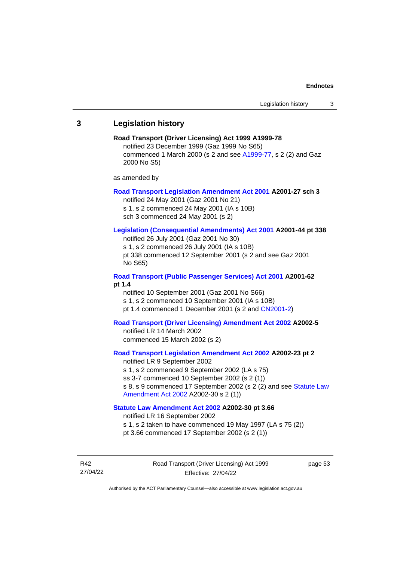# **3 Legislation history**

# **Road Transport (Driver Licensing) Act 1999 A1999-78**  notified 23 December 1999 (Gaz 1999 No S65) commenced 1 March 2000 (s 2 and see [A1999-77,](https://www.legislation.act.gov.au/a/1999-77/#history) s 2 (2) and Gaz 2000 No S5) as amended by **[Road Transport Legislation Amendment Act 2001](http://www.legislation.act.gov.au/a/2001-27) A2001-27 sch 3** notified 24 May 2001 (Gaz 2001 No 21) s 1, s 2 commenced 24 May 2001 (IA s 10B) sch 3 commenced 24 May 2001 (s 2) **[Legislation \(Consequential Amendments\) Act 2001](http://www.legislation.act.gov.au/a/2001-44) A2001-44 pt 338** notified 26 July 2001 (Gaz 2001 No 30) s 1, s 2 commenced 26 July 2001 (IA s 10B) pt 338 commenced 12 September 2001 (s 2 and see Gaz 2001 No S65) **[Road Transport \(Public Passenger Services\) Act 2001](http://www.legislation.act.gov.au/a/2001-62) A2001-62 pt 1.4** notified 10 September 2001 (Gaz 2001 No S66) s 1, s 2 commenced 10 September 2001 (IA s 10B) pt 1.4 commenced 1 December 2001 (s 2 and [CN2001-2\)](http://www.legislation.act.gov.au/cn/2001-2/default.asp) **[Road Transport \(Driver Licensing\) Amendment Act 2002](http://www.legislation.act.gov.au/a/2002-5) A2002-5**  notified LR 14 March 2002 commenced 15 March 2002 (s 2) **[Road Transport Legislation Amendment Act 2002](http://www.legislation.act.gov.au/a/2002-23) A2002-23 pt 2** notified LR 9 September 2002 s 1, s 2 commenced 9 September 2002 (LA s 75) ss 3-7 commenced 10 September 2002 (s 2 (1)) s 8, s 9 commenced 17 September 2002 (s 2 (2) and see [Statute Law](http://www.legislation.act.gov.au/a/2002-30)  [Amendment Act 2002](http://www.legislation.act.gov.au/a/2002-30) A2002-30 s 2 (1)) **[Statute Law Amendment Act 2002](http://www.legislation.act.gov.au/a/2002-30) A2002-30 pt 3.66** notified LR 16 September 2002

s 1, s 2 taken to have commenced 19 May 1997 (LA s 75 (2)) pt 3.66 commenced 17 September 2002 (s 2 (1))

R42 27/04/22 Road Transport (Driver Licensing) Act 1999 Effective: 27/04/22

page 53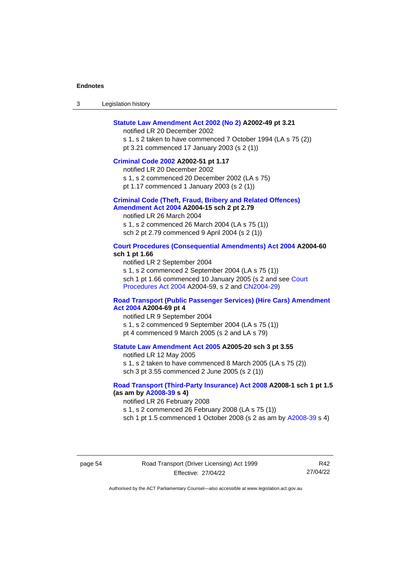| 3 | Legislation history |  |
|---|---------------------|--|
|---|---------------------|--|

#### **[Statute Law Amendment Act 2002 \(No 2\)](http://www.legislation.act.gov.au/a/2002-49) A2002-49 pt 3.21**

notified LR 20 December 2002

s 1, s 2 taken to have commenced 7 October 1994 (LA s 75 (2)) pt 3.21 commenced 17 January 2003 (s 2 (1))

#### **[Criminal Code 2002](http://www.legislation.act.gov.au/a/2002-51#history) A2002-51 pt 1.17**

notified LR 20 December 2002

s 1, s 2 commenced 20 December 2002 (LA s 75)

pt 1.17 commenced 1 January 2003 (s 2 (1))

#### **[Criminal Code \(Theft, Fraud, Bribery and Related Offences\)](http://www.legislation.act.gov.au/a/2004-15/default.asp)  [Amendment Act 2004](http://www.legislation.act.gov.au/a/2004-15/default.asp) A2004-15 sch 2 pt 2.79**

notified LR 26 March 2004 s 1, s 2 commenced 26 March 2004 (LA s 75 (1)) sch 2 pt 2.79 commenced 9 April 2004 (s 2 (1))

#### **[Court Procedures \(Consequential Amendments\) Act 2004](http://www.legislation.act.gov.au/a/2004-60) A2004-60 sch 1 pt 1.66**

notified LR 2 September 2004

s 1, s 2 commenced 2 September 2004 (LA s 75 (1)) sch 1 pt 1.66 commenced 10 January 2005 (s 2 and see [Court](http://www.legislation.act.gov.au/a/2004-59)  [Procedures Act](http://www.legislation.act.gov.au/a/2004-59) 2004 A2004-59, s 2 and [CN2004-29\)](http://www.legislation.act.gov.au/cn/2004-29/default.asp)

#### **[Road Transport \(Public Passenger Services\) \(Hire Cars\) Amendment](http://www.legislation.act.gov.au/a/2004-69)  [Act 2004](http://www.legislation.act.gov.au/a/2004-69) A2004-69 pt 4**

notified LR 9 September 2004

- s 1, s 2 commenced 9 September 2004 (LA s 75 (1))
- pt 4 commenced 9 March 2005 (s 2 and LA s 79)

#### **[Statute Law Amendment Act 2005](http://www.legislation.act.gov.au/a/2005-20) A2005-20 sch 3 pt 3.55**

notified LR 12 May 2005 s 1, s 2 taken to have commenced 8 March 2005 (LA s 75 (2)) sch 3 pt 3.55 commenced 2 June 2005 (s 2 (1))

# **[Road Transport \(Third-Party Insurance\) Act 2008](http://www.legislation.act.gov.au/a/2008-1#history) A2008-1 sch 1 pt 1.5 (as am by [A2008-39](http://www.legislation.act.gov.au/a/2008-39) s 4)**

notified LR 26 February 2008

s 1, s 2 commenced 26 February 2008 (LA s 75 (1))

sch 1 pt 1.5 commenced 1 October 2008 (s 2 as am by [A2008-39](http://www.legislation.act.gov.au/a/2008-39) s 4)

R42 27/04/22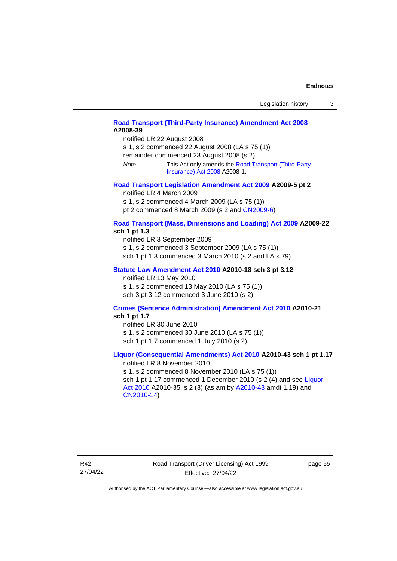| Legislation history |  |
|---------------------|--|
|---------------------|--|

# **[Road Transport \(Third-Party Insurance\) Amendment](http://www.legislation.act.gov.au/a/2008-39) Act 2008 A2008-39**

notified LR 22 August 2008

s 1, s 2 commenced 22 August 2008 (LA s 75 (1))

remainder commenced 23 August 2008 (s 2)

*Note* This Act only amends th[e Road Transport \(Third-Party](http://www.legislation.act.gov.au/a/2008-1#history)  [Insurance\) Act 2008](http://www.legislation.act.gov.au/a/2008-1#history) A2008-1.

#### **[Road Transport Legislation Amendment Act](http://www.legislation.act.gov.au/a/2009-5) 2009 A2009-5 pt 2** notified LR 4 March 2009

s 1, s 2 commenced 4 March 2009 (LA s 75 (1))

pt 2 commenced 8 March 2009 (s 2 and [CN2009-6\)](http://www.legislation.act.gov.au/cn/2009-6/default.asp)

### **[Road Transport \(Mass, Dimensions and Loading\) Act 2009](http://www.legislation.act.gov.au/a/2009-22/default.asp) A2009-22 sch 1 pt 1.3**

notified LR 3 September 2009

s 1, s 2 commenced 3 September 2009 (LA s 75 (1))

sch 1 pt 1.3 commenced 3 March 2010 (s 2 and LA s 79)

# **[Statute Law Amendment Act 2010](http://www.legislation.act.gov.au/a/2010-18) A2010-18 sch 3 pt 3.12**

notified LR 13 May 2010 s 1, s 2 commenced 13 May 2010 (LA s 75 (1)) sch 3 pt 3.12 commenced 3 June 2010 (s 2)

#### **[Crimes \(Sentence Administration\) Amendment Act 2010](http://www.legislation.act.gov.au/a/2010-21) A2010-21 sch 1 pt 1.7**

notified LR 30 June 2010 s 1, s 2 commenced 30 June 2010 (LA s 75 (1)) sch 1 pt 1.7 commenced 1 July 2010 (s 2)

# **[Liquor \(Consequential Amendments\) Act 2010](http://www.legislation.act.gov.au/a/2010-43) A2010-43 sch 1 pt 1.17**

notified LR 8 November 2010 s 1, s 2 commenced 8 November 2010 (LA s 75 (1)) sch 1 pt 1.17 commenced 1 December 2010 (s 2 (4) and see Liquor [Act 2010](http://www.legislation.act.gov.au/a/2010-35) A2010-35, s 2 (3) (as am by [A2010-43](http://www.legislation.act.gov.au/a/2010-43) amdt 1.19) and [CN2010-14\)](http://www.legislation.act.gov.au/cn/2010-14/default.asp)

page 55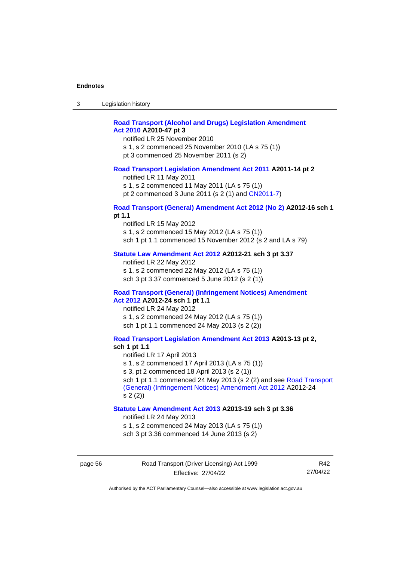| ົ<br>- 3 | Legislation history |  |
|----------|---------------------|--|
|----------|---------------------|--|

# **[Road Transport \(Alcohol and Drugs\) Legislation Amendment](http://www.legislation.act.gov.au/a/2010-47)  Act [2010](http://www.legislation.act.gov.au/a/2010-47) A2010-47 pt 3**

notified LR 25 November 2010

s 1, s 2 commenced 25 November 2010 (LA s 75 (1))

pt 3 commenced 25 November 2011 (s 2)

#### **[Road Transport Legislation Amendment Act 2011](http://www.legislation.act.gov.au/a/2011-14) A2011-14 pt 2**

notified LR 11 May 2011

s 1, s 2 commenced 11 May 2011 (LA s 75 (1))

pt 2 commenced 3 June 2011 (s 2 (1) and [CN2011-7\)](http://www.legislation.act.gov.au/cn/2011-7/default.asp)

#### **[Road Transport \(General\) Amendment Act 2012 \(No 2\)](http://www.legislation.act.gov.au/a/2012-16) A2012-16 sch 1 pt 1.1**

notified LR 15 May 2012 s 1, s 2 commenced 15 May 2012 (LA s 75 (1)) sch 1 pt 1.1 commenced 15 November 2012 (s 2 and LA s 79)

### **[Statute Law Amendment Act 2012](http://www.legislation.act.gov.au/a/2012-21) A2012-21 sch 3 pt 3.37**

notified LR 22 May 2012 s 1, s 2 commenced 22 May 2012 (LA s 75 (1)) sch 3 pt 3.37 commenced 5 June 2012 (s 2 (1))

# **[Road Transport \(General\) \(Infringement Notices\) Amendment](http://www.legislation.act.gov.au/a/2012-24/default.asp)**

**Act [2012](http://www.legislation.act.gov.au/a/2012-24/default.asp) A2012-24 sch 1 pt 1.1** notified LR 24 May 2012 s 1, s 2 commenced 24 May 2012 (LA s 75 (1)) sch 1 pt 1.1 commenced 24 May 2013 (s 2 (2))

#### **[Road Transport Legislation Amendment Act 2013](http://www.legislation.act.gov.au/a/2013-13/default.asp) A2013-13 pt 2, sch 1 pt 1.1**

notified LR 17 April 2013 s 1, s 2 commenced 17 April 2013 (LA s 75 (1)) s 3, pt 2 commenced 18 April 2013 (s 2 (1)) sch 1 pt 1.1 commenced 24 May 2013 (s 2 (2) and see Road Transport [\(General\) \(Infringement Notices\) Amendment Act](http://www.legislation.act.gov.au/a/2012-24/default.asp) 2012 A2012-24 s 2 (2))

### **[Statute Law Amendment Act 2013](http://www.legislation.act.gov.au/a/2013-19) A2013-19 sch 3 pt 3.36**

notified LR 24 May 2013

s 1, s 2 commenced 24 May 2013 (LA s 75 (1))

sch 3 pt 3.36 commenced 14 June 2013 (s 2)

page 56 Road Transport (Driver Licensing) Act 1999 Effective: 27/04/22

R42 27/04/22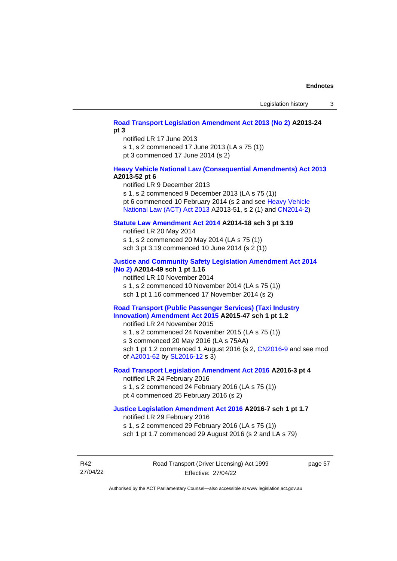# **[Road Transport Legislation Amendment Act 2013 \(No 2\)](http://www.legislation.act.gov.au/a/2013-24/default.asp) A2013-24 pt 3**

notified LR 17 June 2013

s 1, s 2 commenced 17 June 2013 (LA s 75 (1))

pt 3 commenced 17 June 2014 (s 2)

# **[Heavy Vehicle National Law \(Consequential Amendments\) Act 2013](http://www.legislation.act.gov.au/a/2013-52) A2013-52 pt 6**

notified LR 9 December 2013 s 1, s 2 commenced 9 December 2013 (LA s 75 (1)) pt 6 commenced 10 February 2014 (s 2 and see [Heavy Vehicle](http://www.legislation.act.gov.au/a/2013-51/default.asp)  [National Law \(ACT\) Act 2013](http://www.legislation.act.gov.au/a/2013-51/default.asp) A2013-51, s 2 (1) and [CN2014-2\)](http://www.legislation.act.gov.au/cn/2014-2/default.asp)

### **[Statute Law Amendment Act 2014](http://www.legislation.act.gov.au/a/2014-18) A2014-18 sch 3 pt 3.19**

notified LR 20 May 2014 s 1, s 2 commenced 20 May 2014 (LA s 75 (1)) sch 3 pt 3.19 commenced 10 June 2014 (s 2 (1))

# **[Justice and Community Safety Legislation Amendment Act 2014](http://www.legislation.act.gov.au/a/2014-49)**

**[\(No](http://www.legislation.act.gov.au/a/2014-49) 2) A2014-49 sch 1 pt 1.16**

notified LR 10 November 2014 s 1, s 2 commenced 10 November 2014 (LA s 75 (1)) sch 1 pt 1.16 commenced 17 November 2014 (s 2)

# **[Road Transport \(Public Passenger Services\) \(Taxi Industry](http://www.legislation.act.gov.au/a/2015-47/default.asp)  [Innovation\) Amendment Act 2015](http://www.legislation.act.gov.au/a/2015-47/default.asp) A2015-47 sch 1 pt 1.2**

notified LR 24 November 2015

s 1, s 2 commenced 24 November 2015 (LA s 75 (1)) s 3 commenced 20 May 2016 (LA s 75AA)

sch 1 pt 1.2 commenced 1 August 2016 (s 2, [CN2016-9](http://www.legislation.act.gov.au/cn/2016-9/default.asp) and see mod of [A2001-62](http://www.legislation.act.gov.au/a/2001-62/default.asp) by [SL2016-12](http://www.legislation.act.gov.au/sl/2016-12/default.asp) s 3)

# **[Road Transport Legislation Amendment Act 2016](http://www.legislation.act.gov.au/a/2016-3/default.asp) A2016-3 pt 4**

notified LR 24 February 2016 s 1, s 2 commenced 24 February 2016 (LA s 75 (1)) pt 4 commenced 25 February 2016 (s 2)

### **[Justice Legislation Amendment Act 2016](http://www.legislation.act.gov.au/a/2016-7/default.asp) A2016-7 sch 1 pt 1.7**

notified LR 29 February 2016

s 1, s 2 commenced 29 February 2016 (LA s 75 (1))

sch 1 pt 1.7 commenced 29 August 2016 (s 2 and LA s 79)

R42 27/04/22 Road Transport (Driver Licensing) Act 1999 Effective: 27/04/22

page 57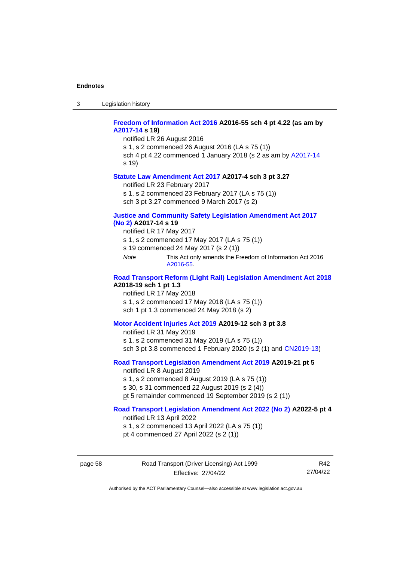3 Legislation history

# **[Freedom of Information Act 2016](http://www.legislation.act.gov.au/a/2016-55#history) A2016-55 sch 4 pt 4.22 (as am by [A2017-14](http://www.legislation.act.gov.au/a/2017-14) s 19)**

notified LR 26 August 2016 s 1, s 2 commenced 26 August 2016 (LA s 75 (1)) sch 4 pt 4.22 commenced 1 January 2018 (s 2 as am by [A2017-14](http://www.legislation.act.gov.au/a/2017-14) s 19)

#### **[Statute Law Amendment Act 2017](http://www.legislation.act.gov.au/a/2017-4/default.asp) A2017-4 sch 3 pt 3.27**

notified LR 23 February 2017

s 1, s 2 commenced 23 February 2017 (LA s 75 (1))

sch 3 pt 3.27 commenced 9 March 2017 (s 2)

#### **[Justice and Community Safety Legislation Amendment Act 2017](http://www.legislation.act.gov.au/a/2017-14/default.asp)  [\(No](http://www.legislation.act.gov.au/a/2017-14/default.asp) 2) A2017-14 s 19**

notified LR 17 May 2017

- s 1, s 2 commenced 17 May 2017 (LA s 75 (1))
- s 19 commenced 24 May 2017 (s 2 (1))
- *Note* This Act only amends the Freedom of Information Act 2016 [A2016-55.](http://www.legislation.act.gov.au/a/2016-55#history)

# **[Road Transport Reform \(Light Rail\) Legislation Amendment Act](http://www.legislation.act.gov.au/a/2018-19/default.asp) 2018 A2018-19 sch 1 pt 1.3**

notified LR 17 May 2018 s 1, s 2 commenced 17 May 2018 (LA s 75 (1)) sch 1 pt 1.3 commenced 24 May 2018 (s 2)

#### **[Motor Accident Injuries Act 2019](http://www.legislation.act.gov.au/a/2019-12#history) A2019-12 sch 3 pt 3.8**

notified LR 31 May 2019 s 1, s 2 commenced 31 May 2019 (LA s 75 (1)) sch 3 pt 3.8 commenced 1 February 2020 (s 2 (1) and [CN2019-13\)](https://www.legislation.act.gov.au/cn/2019-13/)

# **[Road Transport Legislation Amendment Act 2019](http://www.legislation.act.gov.au/a/2019-21/default.asp) A2019-21 pt 5**

notified LR 8 August 2019

s 1, s 2 commenced 8 August 2019 (LA s 75 (1))

s 30, s 31 commenced 22 August 2019 (s 2 (4))

pt 5 remainder commenced 19 September 2019 (s 2 (1))

# **[Road Transport Legislation Amendment Act 2022 \(No 2\)](http://www.legislation.act.gov.au/a/2022-5) A2022-5 pt 4**

notified LR 13 April 2022

s 1, s 2 commenced 13 April 2022 (LA s 75 (1)) pt 4 commenced 27 April 2022 (s 2 (1))

page 58 Road Transport (Driver Licensing) Act 1999 Effective: 27/04/22

R42 27/04/22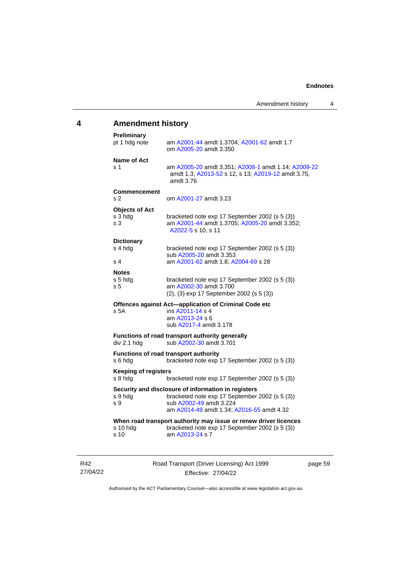# **4 Amendment history**

| <b>Preliminary</b><br>pt 1 hdg note                | am A2001-44 amdt 1.3704; A2001-62 amdt 1.7<br>om A2005-20 amdt 3.350                                                                                                          |
|----------------------------------------------------|-------------------------------------------------------------------------------------------------------------------------------------------------------------------------------|
| Name of Act<br>s 1                                 | am A2005-20 amdt 3.351; A2008-1 amdt 1.14; A2009-22<br>amdt 1.3; A2013-52 s 12, s 13; A2019-12 amdt 3.75,<br>amdt 3.76                                                        |
| <b>Commencement</b><br>s 2                         | om A2001-27 amdt 3.23                                                                                                                                                         |
| <b>Objects of Act</b><br>s 3 hdg<br>s <sub>3</sub> | bracketed note exp 17 September 2002 (s 5 (3))<br>am A2001-44 amdt 1.3705; A2005-20 amdt 3.352;<br>A2022-5 s 10, s 11                                                         |
| <b>Dictionary</b><br>s 4 hdg<br>s 4                | bracketed note exp 17 September 2002 (s 5 (3))<br>sub A2005-20 amdt 3.353<br>am A2001-62 amdt 1.8; A2004-69 s 28                                                              |
| <b>Notes</b><br>s 5 hdg<br>s <sub>5</sub>          | bracketed note exp 17 September 2002 (s 5 (3))<br>am A2002-30 amdt 3.700<br>(2), (3) exp 17 September 2002 (s 5 (3))                                                          |
| s 5A                                               | Offences against Act-application of Criminal Code etc<br>ins A2011-14 s 4<br>am A2013-24 s 6<br>sub A2017-4 amdt 3.178                                                        |
| div 2.1 hdg                                        | Functions of road transport authority generally<br>sub A2002-30 amdt 3.701                                                                                                    |
| s 6 hdg                                            | Functions of road transport authority<br>bracketed note exp 17 September 2002 (s 5 (3))                                                                                       |
| <b>Keeping of registers</b><br>s 8 hdg             | bracketed note exp 17 September 2002 (s 5 (3))                                                                                                                                |
| s 9 hdg<br>s 9                                     | Security and disclosure of information in registers<br>bracketed note exp 17 September 2002 (s 5 (3))<br>sub A2002-49 amdt 3.224<br>am A2014-49 amdt 1.34; A2016-55 amdt 4.32 |
| s 10 hdg<br>s 10                                   | When road transport authority may issue or renew driver licences<br>bracketed note exp 17 September 2002 (s 5 (3))<br>am A2013-24 s 7                                         |
|                                                    |                                                                                                                                                                               |

R42 27/04/22 Road Transport (Driver Licensing) Act 1999 Effective: 27/04/22

page 59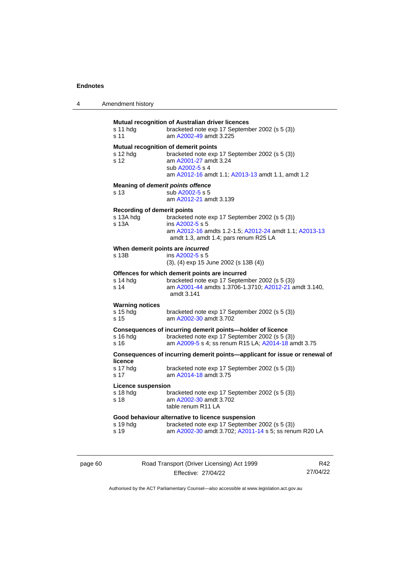| s 11 hdg<br>s 11                                         | Mutual recognition of Australian driver licences<br>bracketed note exp 17 September 2002 (s 5 (3))<br>am A2002-49 amdt 3.225                                                            |
|----------------------------------------------------------|-----------------------------------------------------------------------------------------------------------------------------------------------------------------------------------------|
| s 12 hdg<br>s 12                                         | Mutual recognition of demerit points<br>bracketed note exp 17 September 2002 (s 5 (3))<br>am A2001-27 amdt 3.24<br>sub A2002-5 s 4<br>am A2012-16 amdt 1.1; A2013-13 amdt 1.1, amdt 1.2 |
| s 13                                                     | Meaning of demerit points offence<br>sub A2002-5 s 5<br>am A2012-21 amdt 3.139                                                                                                          |
| <b>Recording of demerit points</b><br>s 13A hdg<br>s 13A | bracketed note exp 17 September 2002 (s 5 (3))<br>ins A2002-5 s 5<br>am A2012-16 amdts 1.2-1.5; A2012-24 amdt 1.1; A2013-13<br>amdt 1.3, amdt 1.4; pars renum R25 LA                    |
| When demerit points are incurred<br>s 13B                | ins A2002-5 s 5<br>(3), (4) exp 15 June 2002 (s 13B (4))                                                                                                                                |
| s 14 hdg<br>s 14                                         | Offences for which demerit points are incurred<br>bracketed note exp 17 September 2002 (s 5 (3))<br>am A2001-44 amdts 1.3706-1.3710; A2012-21 amdt 3.140,<br>amdt 3.141                 |
| <b>Warning notices</b><br>s 15 hdg<br>s 15               | bracketed note exp 17 September 2002 (s 5 (3))<br>am A2002-30 amdt 3.702                                                                                                                |
| $s$ 16 hdg<br>s 16                                       | Consequences of incurring demerit points-holder of licence<br>bracketed note exp 17 September 2002 (s 5 (3))<br>am A2009-5 s 4; ss renum R15 LA; A2014-18 amdt 3.75                     |
|                                                          | Consequences of incurring demerit points-applicant for issue or renewal of                                                                                                              |
| licence<br>s 17 hdg<br>s 17                              | bracketed note exp 17 September 2002 (s 5 (3))<br>am A2014-18 amdt 3.75                                                                                                                 |
| <b>Licence suspension</b><br>s 18 hdg<br>s 18            | bracketed note exp 17 September 2002 (s 5 (3))<br>am A2002-30 amdt 3.702<br>table renum R11 LA                                                                                          |
| s 19 hdg<br>s 19                                         | Good behaviour alternative to licence suspension<br>bracketed note exp 17 September 2002 (s 5 (3))<br>am A2002-30 amdt 3.702; A2011-14 s 5; ss renum R20 LA                             |
|                                                          |                                                                                                                                                                                         |

page 60 Road Transport (Driver Licensing) Act 1999 Effective: 27/04/22

R42 27/04/22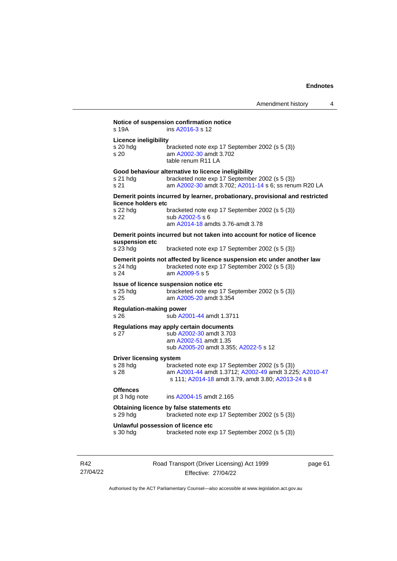|                                                  | Amendment history                                                                                                                                                                     | 4 |
|--------------------------------------------------|---------------------------------------------------------------------------------------------------------------------------------------------------------------------------------------|---|
| s 19A                                            | Notice of suspension confirmation notice<br>ins A2016-3 s 12                                                                                                                          |   |
| <b>Licence ineligibility</b><br>s 20 hdg<br>s 20 | bracketed note exp 17 September 2002 (s 5 (3))<br>am A2002-30 amdt 3.702<br>table renum R11 LA                                                                                        |   |
| s 21 hdg<br>s 21                                 | Good behaviour alternative to licence ineligibility<br>bracketed note exp 17 September 2002 (s 5 (3))<br>am A2002-30 amdt 3.702; A2011-14 s 6; ss renum R20 LA                        |   |
| licence holders etc<br>s 22 hdg<br>s 22          | Demerit points incurred by learner, probationary, provisional and restricted<br>bracketed note exp 17 September 2002 (s 5 (3))<br>sub A2002-5 s 6<br>am A2014-18 amdts 3.76-amdt 3.78 |   |
| suspension etc<br>s 23 hdg                       | Demerit points incurred but not taken into account for notice of licence<br>bracketed note exp 17 September 2002 (s 5 (3))                                                            |   |
| s 24 hdg<br>s 24                                 | Demerit points not affected by licence suspension etc under another law<br>bracketed note exp 17 September 2002 (s 5 (3))<br>am A2009-5 s 5                                           |   |
| s 25 hdg<br>s 25                                 | Issue of licence suspension notice etc<br>bracketed note exp 17 September 2002 (s 5 (3))<br>am A2005-20 amdt 3.354                                                                    |   |
| <b>Regulation-making power</b><br>s 26           | sub A2001-44 amdt 1.3711                                                                                                                                                              |   |
| s 27                                             | Regulations may apply certain documents<br>sub A2002-30 amdt 3.703<br>am A2002-51 amdt 1.35                                                                                           |   |

| <b>SUD AZUUZ-30 ANUL 3.703</b>        |
|---------------------------------------|
| am A2002-51 amdt 1.35                 |
| sub A2005-20 amdt 3.355: A2022-5 s 12 |

#### **Driver licensing system**

| s 28 hda | bracketed note exp 17 September 2002 (s 5 (3))         |
|----------|--------------------------------------------------------|
| s 28     | am A2001-44 amdt 1.3712; A2002-49 amdt 3.225; A2010-47 |
|          | s 111: A2014-18 amdt 3.79. amdt 3.80: A2013-24 s 8     |
|          |                                                        |

# **Offences**<br>pt 3 hdg note

ins [A2004-15](http://www.legislation.act.gov.au/a/2004-15) amdt 2.165

```
Obtaining licence by false statements etc
s 29 hdg bracketed note exp 17 September 2002 (s 5 (3))
```
# **Unlawful possession of licence etc**

s 30 hdg bracketed note exp 17 September 2002 (s 5 (3))

Road Transport (Driver Licensing) Act 1999 Effective: 27/04/22

page 61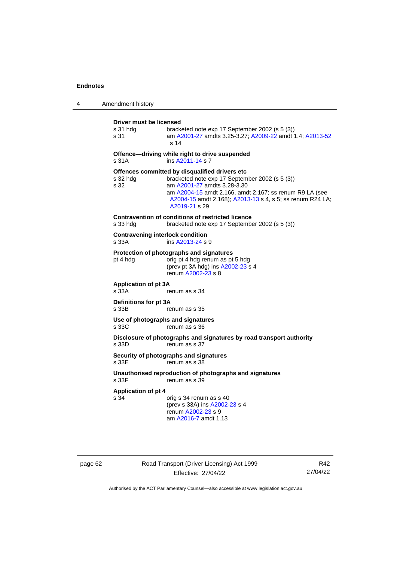| 4 | Amendment history                                |                                                                                                                                                                                                                                                                          |
|---|--------------------------------------------------|--------------------------------------------------------------------------------------------------------------------------------------------------------------------------------------------------------------------------------------------------------------------------|
|   | Driver must be licensed<br>s 31 hdg<br>s 31      | bracketed note exp 17 September 2002 (s 5 (3))<br>am A2001-27 amdts 3.25-3.27; A2009-22 amdt 1.4; A2013-52<br>s <sub>14</sub>                                                                                                                                            |
|   | s 31A                                            | Offence-driving while right to drive suspended<br>ins A2011-14 s 7                                                                                                                                                                                                       |
|   | s 32 hdg<br>s 32                                 | Offences committed by disqualified drivers etc<br>bracketed note exp 17 September 2002 (s 5 (3))<br>am A2001-27 amdts 3.28-3.30<br>am A2004-15 amdt 2.166, amdt 2.167; ss renum R9 LA (see<br>A2004-15 amdt 2.168); A2013-13 s 4, s 5; ss renum R24 LA;<br>A2019-21 s 29 |
|   | s 33 hdg                                         | Contravention of conditions of restricted licence<br>bracketed note exp 17 September 2002 (s 5 (3))                                                                                                                                                                      |
|   | <b>Contravening interlock condition</b><br>s 33A | ins A2013-24 s 9                                                                                                                                                                                                                                                         |
|   | pt 4 hdg                                         | Protection of photographs and signatures<br>orig pt 4 hdg renum as pt 5 hdg<br>(prev pt 3A hdg) ins A2002-23 s 4<br>renum A2002-23 s 8                                                                                                                                   |
|   | <b>Application of pt 3A</b><br>s 33A             | renum as s 34                                                                                                                                                                                                                                                            |
|   | Definitions for pt 3A<br>s 33B                   | renum as s 35                                                                                                                                                                                                                                                            |
|   | s 33C                                            | Use of photographs and signatures<br>renum as s 36                                                                                                                                                                                                                       |
|   | s 33D                                            | Disclosure of photographs and signatures by road transport authority<br>renum as s 37                                                                                                                                                                                    |
|   | s 33E                                            | Security of photographs and signatures<br>renum as s 38                                                                                                                                                                                                                  |
|   | s 33F                                            | Unauthorised reproduction of photographs and signatures<br>renum as s 39                                                                                                                                                                                                 |
|   | <b>Application of pt 4</b><br>s 34               | orig s 34 renum as s 40<br>(prev s 33A) ins A2002-23 s 4<br>renum A2002-23 s 9<br>am A2016-7 amdt 1.13                                                                                                                                                                   |

page 62 Road Transport (Driver Licensing) Act 1999 Effective: 27/04/22

R42 27/04/22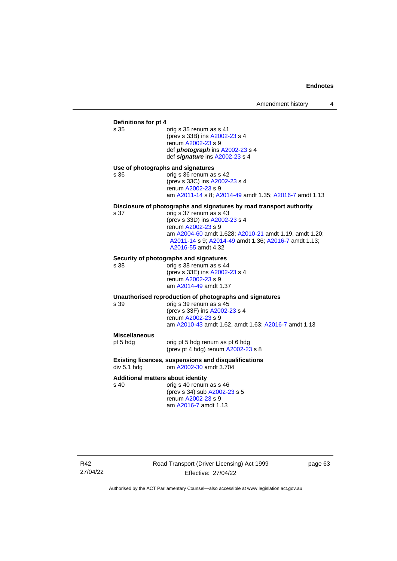# **Definitions for pt 4**

orig s 35 renum as s 41 (prev s 33B) in[s A2002-23](http://www.legislation.act.gov.au/a/2002-23) s 4 renum [A2002-23](http://www.legislation.act.gov.au/a/2002-23) s 9 def *photograph* in[s A2002-23](http://www.legislation.act.gov.au/a/2002-23) s 4 def *signature* ins [A2002-23](http://www.legislation.act.gov.au/a/2002-23) s 4

#### **Use of photographs and signatures**

s 36 orig s 36 renum as s 42 (prev s 33C) ins [A2002-23](http://www.legislation.act.gov.au/a/2002-23) s 4 renum [A2002-23](http://www.legislation.act.gov.au/a/2002-23) s 9 am [A2011-14](http://www.legislation.act.gov.au/a/2011-14) s 8[; A2014-49](http://www.legislation.act.gov.au/a/2014-49) amdt 1.35; [A2016-7](http://www.legislation.act.gov.au/a/2016-7/default.asp) amdt 1.13

# **Disclosure of photographs and signatures by road transport authority**

s 37 orig s 37 renum as s 43 (prev s 33D) ins [A2002-23](http://www.legislation.act.gov.au/a/2002-23) s 4 renum [A2002-23](http://www.legislation.act.gov.au/a/2002-23) s 9 am [A2004-60](http://www.legislation.act.gov.au/a/2004-60) amdt 1.628[; A2010-21](http://www.legislation.act.gov.au/a/2010-21) amdt 1.19, amdt 1.20; [A2011-14](http://www.legislation.act.gov.au/a/2011-14) s 9[; A2014-49](http://www.legislation.act.gov.au/a/2014-49) amdt 1.36; [A2016-7](http://www.legislation.act.gov.au/a/2016-7/default.asp) amdt 1.13; [A2016-55](http://www.legislation.act.gov.au/a/2016-55#history) amdt 4.32

# **Security of photographs and signatures**<br>s 38 cenum as s 44

orig s 38 renum as s 44 (prev s 33E) in[s A2002-23](http://www.legislation.act.gov.au/a/2002-23) s 4 renum [A2002-23](http://www.legislation.act.gov.au/a/2002-23) s 9 am [A2014-49](http://www.legislation.act.gov.au/a/2014-49) amdt 1.37

# **Unauthorised reproduction of photographs and signatures**

orig s 39 renum as s 45 (prev s 33F) ins [A2002-23](http://www.legislation.act.gov.au/a/2002-23) s 4 renum [A2002-23](http://www.legislation.act.gov.au/a/2002-23) s 9 am [A2010-43](http://www.legislation.act.gov.au/a/2010-43) amdt 1.62, amdt 1.63[; A2016-7](http://www.legislation.act.gov.au/a/2016-7/default.asp) amdt 1.13

**Miscellaneous**<br>pt 5 hdg

orig pt 5 hdg renum as pt 6 hdg (prev pt 4 hdg) renum [A2002-23](http://www.legislation.act.gov.au/a/2002-23) s 8

#### **Existing licences, suspensions and disqualifications** div 5.1 hdg om [A2002-30](http://www.legislation.act.gov.au/a/2002-30) amdt 3.704

#### **Additional matters about identity**

s 40 orig s 40 renum as s 46 (prev s 34) su[b A2002-23](http://www.legislation.act.gov.au/a/2002-23) s 5 renum [A2002-23](http://www.legislation.act.gov.au/a/2002-23) s 9 am [A2016-7](http://www.legislation.act.gov.au/a/2016-7/default.asp) amdt 1.13

R42 27/04/22 Road Transport (Driver Licensing) Act 1999 Effective: 27/04/22

page 63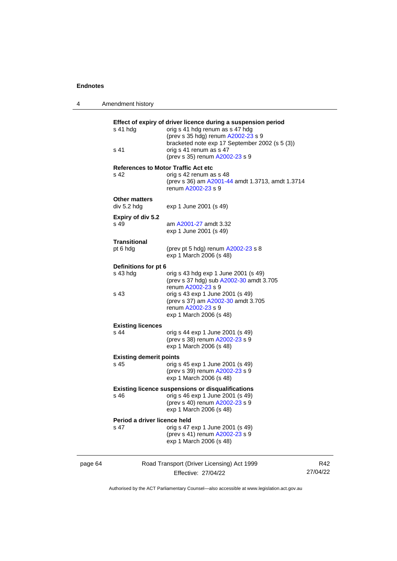4 Amendment history

|         | s 41 hdg                                                 | Effect of expiry of driver licence during a suspension period<br>orig s 41 hdg renum as s 47 hdg<br>(prev s 35 hdg) renum A2002-23 s 9<br>bracketed note exp 17 September 2002 (s 5 (3)) |                 |  |
|---------|----------------------------------------------------------|------------------------------------------------------------------------------------------------------------------------------------------------------------------------------------------|-----------------|--|
|         | s 41                                                     | orig s 41 renum as s 47<br>(prev s 35) renum A2002-23 s 9                                                                                                                                |                 |  |
|         | s 42                                                     | <b>References to Motor Traffic Act etc</b><br>orig s 42 renum as s 48<br>(prev s 36) am A2001-44 amdt 1.3713, amdt 1.3714<br>renum A2002-23 s 9                                          |                 |  |
|         | <b>Other matters</b><br>div 5.2 hdg                      | exp 1 June 2001 (s 49)                                                                                                                                                                   |                 |  |
|         | Expiry of div 5.2<br>s 49                                | am A2001-27 amdt 3.32<br>exp 1 June 2001 (s 49)                                                                                                                                          |                 |  |
|         | <b>Transitional</b><br>pt 6 hdg                          | (prev pt 5 hdg) renum A2002-23 s 8<br>exp 1 March 2006 (s 48)                                                                                                                            |                 |  |
|         | Definitions for pt 6                                     |                                                                                                                                                                                          |                 |  |
|         | s 43 hdg                                                 | orig s 43 hdg exp 1 June 2001 (s 49)<br>(prev s 37 hdg) sub A2002-30 amdt 3.705<br>renum A2002-23 s 9                                                                                    |                 |  |
|         | s 43                                                     | orig s 43 exp 1 June 2001 (s 49)<br>(prev s 37) am A2002-30 amdt 3.705<br>renum A2002-23 s 9<br>exp 1 March 2006 (s 48)                                                                  |                 |  |
|         | <b>Existing licences</b>                                 |                                                                                                                                                                                          |                 |  |
|         | s 44                                                     | orig s 44 exp 1 June 2001 (s 49)<br>(prev s 38) renum A2002-23 s 9<br>exp 1 March 2006 (s 48)                                                                                            |                 |  |
|         | <b>Existing demerit points</b>                           |                                                                                                                                                                                          |                 |  |
|         | s 45                                                     | orig s 45 exp 1 June 2001 (s 49)<br>(prev s 39) renum A2002-23 s 9<br>exp 1 March 2006 (s 48)                                                                                            |                 |  |
|         | <b>Existing licence suspensions or disqualifications</b> |                                                                                                                                                                                          |                 |  |
|         | s 46                                                     | orig s 46 exp 1 June 2001 (s 49)<br>(prev s 40) renum A2002-23 s 9<br>exp 1 March 2006 (s 48)                                                                                            |                 |  |
|         | Period a driver licence held                             |                                                                                                                                                                                          |                 |  |
|         | s 47                                                     | orig s 47 exp 1 June 2001 (s 49)<br>(prev s 41) renum A2002-23 s 9<br>exp 1 March 2006 (s 48)                                                                                            |                 |  |
| page 64 |                                                          | Road Transport (Driver Licensing) Act 1999                                                                                                                                               | R42<br>27/04/22 |  |
|         |                                                          | Effective: 27/04/22                                                                                                                                                                      |                 |  |

Authorised by the ACT Parliamentary Counsel—also accessible at www.legislation.act.gov.au

Effective: 27/04/22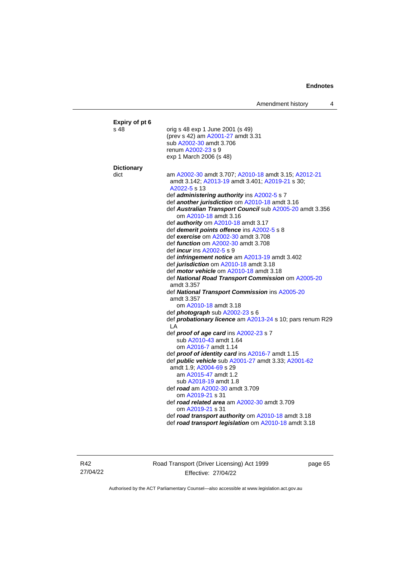| Expiry of pt 6    |                                                                                                                         |
|-------------------|-------------------------------------------------------------------------------------------------------------------------|
| s 48              | orig s 48 exp 1 June 2001 (s 49)<br>(prev s 42) am A2001-27 amdt 3.31                                                   |
|                   | sub A2002-30 amdt 3.706                                                                                                 |
|                   | renum A2002-23 s 9                                                                                                      |
|                   | exp 1 March 2006 (s 48)                                                                                                 |
| <b>Dictionary</b> |                                                                                                                         |
| dict              | am A2002-30 amdt 3.707; A2010-18 amdt 3.15; A2012-21<br>amdt 3.142; A2013-19 amdt 3.401; A2019-21 s 30;<br>A2022-5 s 13 |
|                   | def administering authority ins A2002-5 s 7                                                                             |
|                   | def another jurisdiction om A2010-18 amdt 3.16                                                                          |
|                   | def Australian Transport Council sub A2005-20 amdt 3.356<br>om A2010-18 amdt 3.16                                       |
|                   | def <b>authority</b> om A2010-18 amdt 3.17                                                                              |
|                   | def <i>demerit points offence</i> ins A2002-5 s 8                                                                       |
|                   | def exercise om A2002-30 amdt 3.708                                                                                     |
|                   | def <i>function</i> om A2002-30 amdt 3.708<br>def <i>incur</i> ins A2002-5 s 9                                          |
|                   | def <i>infringement notice</i> am A2013-19 amdt 3.402                                                                   |
|                   | def jurisdiction om A2010-18 amdt 3.18                                                                                  |
|                   | def <i>motor vehicle</i> om A2010-18 amdt 3.18                                                                          |
|                   | def National Road Transport Commission om A2005-20                                                                      |
|                   | amdt 3.357                                                                                                              |
|                   | def National Transport Commission ins A2005-20                                                                          |
|                   | amdt 3.357                                                                                                              |
|                   | om A2010-18 amdt 3.18                                                                                                   |
|                   | def <i>photograph</i> sub A2002-23 s 6                                                                                  |
|                   | def probationary licence am A2013-24 s 10; pars renum R29<br>I A                                                        |
|                   | def proof of age card ins A2002-23 s 7                                                                                  |
|                   | sub A2010-43 amdt 1.64                                                                                                  |
|                   | om A2016-7 amdt 1.14                                                                                                    |
|                   | def proof of identity card ins A2016-7 amdt 1.15                                                                        |
|                   | def public vehicle sub A2001-27 amdt 3.33; A2001-62                                                                     |
|                   | amdt 1.9; A2004-69 s 29                                                                                                 |
|                   | am A2015-47 amdt 1.2                                                                                                    |
|                   | sub A2018-19 amdt 1.8                                                                                                   |
|                   | def road am A2002-30 amdt 3.709                                                                                         |
|                   | om A2019-21 s 31<br>def road related area am A2002-30 amdt 3.709                                                        |
|                   | om A2019-21 s 31                                                                                                        |
|                   | def road transport authority om A2010-18 amdt 3.18                                                                      |
|                   | def road transport legislation om A2010-18 amdt 3.18                                                                    |
|                   |                                                                                                                         |

R42 27/04/22 Road Transport (Driver Licensing) Act 1999 Effective: 27/04/22

page 65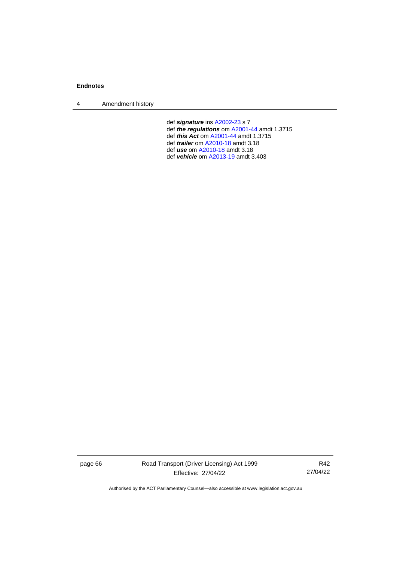4 Amendment history

def *signature* ins [A2002-23](http://www.legislation.act.gov.au/a/2002-23) s 7 def *the regulations* om [A2001-44](http://www.legislation.act.gov.au/a/2001-44) amdt 1.3715 def *this Act* o[m A2001-44](http://www.legislation.act.gov.au/a/2001-44) amdt 1.3715 def *trailer* o[m A2010-18](http://www.legislation.act.gov.au/a/2010-18) amdt 3.18 def *use* om [A2010-18](http://www.legislation.act.gov.au/a/2010-18) amdt 3.18 def *vehicle* om [A2013-19](http://www.legislation.act.gov.au/a/2013-19) amdt 3.403

page 66 Road Transport (Driver Licensing) Act 1999 Effective: 27/04/22

R42 27/04/22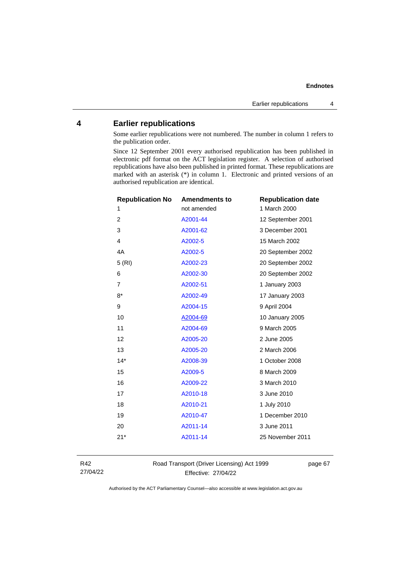## **Endnotes**

## **4 Earlier republications**

Some earlier republications were not numbered. The number in column 1 refers to the publication order.

Since 12 September 2001 every authorised republication has been published in electronic pdf format on the ACT legislation register. A selection of authorised republications have also been published in printed format. These republications are marked with an asterisk (\*) in column 1. Electronic and printed versions of an authorised republication are identical.

| <b>Republication No</b> | <b>Amendments to</b> | <b>Republication date</b> |
|-------------------------|----------------------|---------------------------|
| 1                       | not amended          | 1 March 2000              |
| $\overline{c}$          | A2001-44             | 12 September 2001         |
| 3                       | A2001-62             | 3 December 2001           |
| 4                       | A2002-5              | 15 March 2002             |
| 4A                      | A2002-5              | 20 September 2002         |
| 5(RI)                   | A2002-23             | 20 September 2002         |
| 6                       | A2002-30             | 20 September 2002         |
| $\overline{7}$          | A2002-51             | 1 January 2003            |
| $8*$                    | A2002-49             | 17 January 2003           |
| 9                       | A2004-15             | 9 April 2004              |
| 10                      | A2004-69             | 10 January 2005           |
| 11                      | A2004-69             | 9 March 2005              |
| 12                      | A2005-20             | 2 June 2005               |
| 13                      | A2005-20             | 2 March 2006              |
| $14*$                   | A2008-39             | 1 October 2008            |
| 15                      | A2009-5              | 8 March 2009              |
| 16                      | A2009-22             | 3 March 2010              |
| 17                      | A2010-18             | 3 June 2010               |
| 18                      | A2010-21             | 1 July 2010               |
| 19                      | A2010-47             | 1 December 2010           |
| 20                      | A2011-14             | 3 June 2011               |
| $21*$                   | A2011-14             | 25 November 2011          |
|                         |                      |                           |

R42 27/04/22 Road Transport (Driver Licensing) Act 1999 Effective: 27/04/22

page 67

Authorised by the ACT Parliamentary Counsel—also accessible at www.legislation.act.gov.au